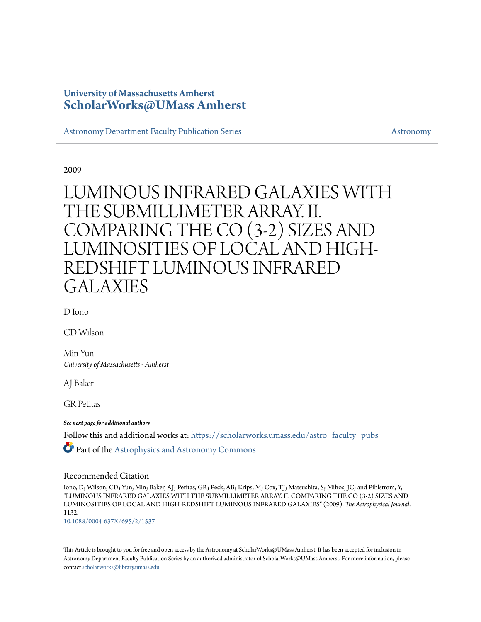# **University of Massachusetts Amherst [ScholarWorks@UMass Amherst](https://scholarworks.umass.edu?utm_source=scholarworks.umass.edu%2Fastro_faculty_pubs%2F1132&utm_medium=PDF&utm_campaign=PDFCoverPages)**

[Astronomy Department Faculty Publication Series](https://scholarworks.umass.edu/astro_faculty_pubs?utm_source=scholarworks.umass.edu%2Fastro_faculty_pubs%2F1132&utm_medium=PDF&utm_campaign=PDFCoverPages) [Astronomy](https://scholarworks.umass.edu/astro?utm_source=scholarworks.umass.edu%2Fastro_faculty_pubs%2F1132&utm_medium=PDF&utm_campaign=PDFCoverPages) Astronomy

2009

# LUMINOUS INFRARED GALAXIES WITH THE SUBMILLIMETER ARRAY. II. COMPARING THE CO (3-2) SIZES AND LUMINOSITIES OF LOCAL AND HIGH-REDSHIFT LUMINOUS INFRARED GALAXIES

D Iono

CD Wilson

Min Yun *University of Massachusetts - Amherst*

AJ Baker

GR Petitas

*See next page for additional authors*

Follow this and additional works at: [https://scholarworks.umass.edu/astro\\_faculty\\_pubs](https://scholarworks.umass.edu/astro_faculty_pubs?utm_source=scholarworks.umass.edu%2Fastro_faculty_pubs%2F1132&utm_medium=PDF&utm_campaign=PDFCoverPages)  $\bullet$  Part of the [Astrophysics and Astronomy Commons](http://network.bepress.com/hgg/discipline/123?utm_source=scholarworks.umass.edu%2Fastro_faculty_pubs%2F1132&utm_medium=PDF&utm_campaign=PDFCoverPages)

# Recommended Citation

Iono, D; Wilson, CD; Yun, Min; Baker, AJ; Petitas, GR; Peck, AB; Krips, M; Cox, TJ; Matsushita, S; Mihos, JC; and Pihlstrom, Y, "LUMINOUS INFRARED GALAXIES WITH THE SUBMILLIMETER ARRAY. II. COMPARING THE CO (3-2) SIZES AND LUMINOSITIES OF LOCAL AND HIGH-REDSHIFT LUMINOUS INFRARED GALAXIES" (2009). *The Astrophysical Journal*. 1132.

<10.1088/0004-637X/695/2/1537>

This Article is brought to you for free and open access by the Astronomy at ScholarWorks@UMass Amherst. It has been accepted for inclusion in Astronomy Department Faculty Publication Series by an authorized administrator of ScholarWorks@UMass Amherst. For more information, please contact [scholarworks@library.umass.edu](mailto:scholarworks@library.umass.edu).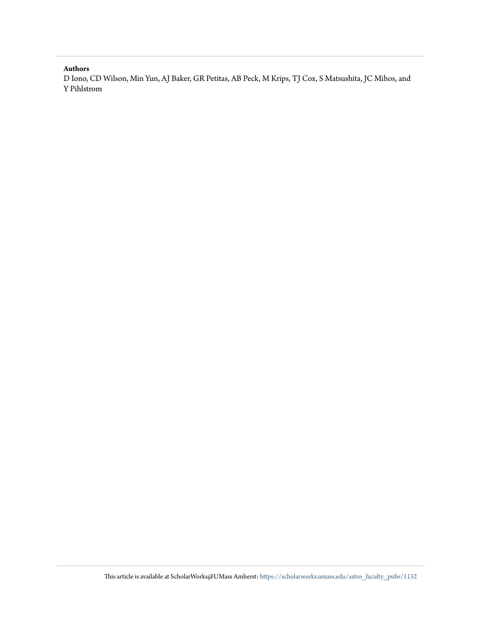## **Authors**

D Iono, CD Wilson, Min Yun, AJ Baker, GR Petitas, AB Peck, M Krips, TJ Cox, S Matsushita, JC Mihos, and Y Pihlstrom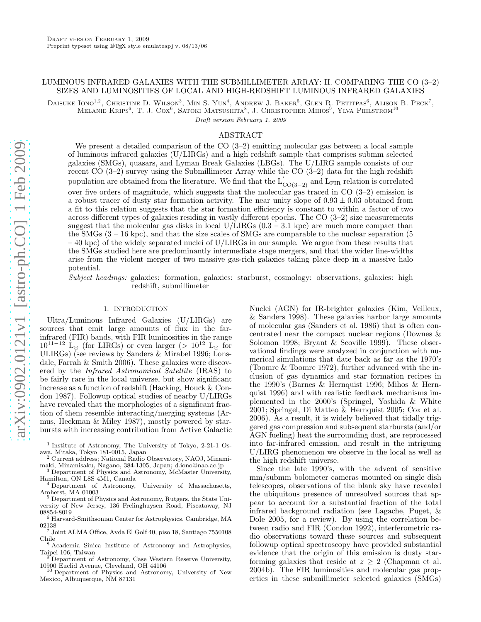### LUMINOUS INFRARED GALAXIES WITH THE SUBMILLIMETER ARRAY: II. COMPARING THE CO (3–2) SIZES AND LUMINOSITIES OF LOCAL AND HIGH-REDSHIFT LUMINOUS INFRARED GALAXIES

DAISUKE  $\text{IonO}^{1,2}$ , Christine D. Wilson<sup>3</sup>, Min S. Yun<sup>4</sup>, Andrew J. Baker<sup>5</sup>, Glen R. Petitpas<sup>6</sup>, Alison B. Peck<sup>7</sup>, Melanie Krips<sup>6</sup>, T. J. Cox<sup>6</sup>, Satoki Matsushita<sup>8</sup>, J. Christopher Mihos<sup>9</sup>, Ylva Pihlstrom<sup>10</sup>

Draft version February 1, 2009

### ABSTRACT

We present a detailed comparison of the CO  $(3-2)$  emitting molecular gas between a local sample of luminous infrared galaxies (U/LIRGs) and a high redshift sample that comprises submm selected galaxies (SMGs), quasars, and Lyman Break Galaxies (LBGs). The U/LIRG sample consists of our recent CO  $(3-2)$  survey using the Submillimeter Array while the CO  $(3-2)$  data for the high redshift population are obtained from the literature. We find that the  $L'_{CO(3-2)}$  and  $L_{\rm FIR}$  relation is correlated over five orders of magnitude, which suggests that the molecular gas traced in CO (3–2) emission is a robust tracer of dusty star formation activity. The near unity slope of  $0.93 \pm 0.03$  obtained from a fit to this relation suggests that the star formation efficiency is constant to within a factor of two across different types of galaxies residing in vastly different epochs. The CO (3–2) size measurements suggest that the molecular gas disks in local U/LIRGs  $(0.3 - 3.1 \text{ kpc})$  are much more compact than the SMGs  $(3 - 16 \text{ kpc})$ , and that the size scales of SMGs are comparable to the nuclear separation (5)  $-40$  kpc) of the widely separated nuclei of U/LIRGs in our sample. We argue from these results that the SMGs studied here are predominantly intermediate stage mergers, and that the wider line-widths arise from the violent merger of two massive gas-rich galaxies taking place deep in a massive halo potential.

Subject headings: galaxies: formation, galaxies: starburst, cosmology: observations, galaxies: high redshift, submillimeter

#### 1. INTRODUCTION

Ultra/Luminous Infrared Galaxies (U/LIRGs) are sources that emit large amounts of flux in the farinfrared (FIR) bands, with FIR luminosities in the range  $10^{11-12}$  L<sub>☉</sub> (for LIRGs) or even larger (>  $10^{12}$  L<sub>☉</sub> for ULIRGs) (see reviews by Sanders & Mirabel 1996; Lonsdale, Farrah & Smith 2006). These galaxies were discovered by the Infrared Astronomical Satellite (IRAS) to be fairly rare in the local universe, but show significant increase as a function of redshift (Hacking, Houck & Condon 1987). Followup optical studies of nearby U/LIRGs have revealed that the morphologies of a significant fraction of them resemble interacting/merging systems (Armus, Heckman & Miley 1987), mostly powered by starbursts with increasing contribution from Active Galactic

<sup>3</sup> Department of Physics and Astronomy, McMaster University, Hamilton, ON L8S 4M1, Canada

<sup>6</sup> Harvard-Smithsonian Center for Astrophysics, Cambridge, MA 02138

<sup>7</sup> Joint ALMA Office, Avda El Golf 40, piso 18, Santiago 7550108 Chile

<sup>8</sup> Academia Sinica Institute of Astronomy and Astrophysics, Taipei 106, Taiwan <sup>9</sup> Department of Astronomy, Case Western Reserve University,

10900 Euclid Avenue, Cleveland, OH 44106

<sup>10</sup> Department of Physics and Astronomy, University of New Mexico, Albuquerque, NM 87131

Nuclei (AGN) for IR-brighter galaxies (Kim, Veilleux, & Sanders 1998). These galaxies harbor large amounts of molecular gas (Sanders et al. 1986) that is often concentrated near the compact nuclear regions (Downes & Solomon 1998; Bryant & Scoville 1999). These observational findings were analyzed in conjunction with numerical simulations that date back as far as the 1970's (Toomre & Toomre 1972), further advanced with the inclusion of gas dynamics and star formation recipes in the 1990's (Barnes & Hernquist 1996; Mihos & Hernquist 1996) and with realistic feedback mechanisms implemented in the 2000's (Springel, Yoshida & White 2001; Springel, Di Matteo & Hernquist 2005; Cox et al. 2006). As a result, it is widely believed that tidally triggered gas compression and subsequent starbursts (and/or AGN fueling) heat the surrounding dust, are reprocessed into far-infrared emission, and result in the intriguing U/LIRG phenomenon we observe in the local as well as the high redshift universe.

Since the late 1990's, with the advent of sensitive mm/submm bolometer cameras mounted on single dish telescopes, observations of the blank sky have revealed the ubiquitous presence of unresolved sources that appear to account for a substantial fraction of the total infrared background radiation (see Lagache, Puget, & Dole 2005, for a review). By using the correlation between radio and FIR (Condon 1992), interferometric radio observations toward these sources and subsequent followup optical spectroscopy have provided substantial evidence that the origin of this emission is dusty starforming galaxies that reside at  $z \geq 2$  (Chapman et al. 2004b). The FIR luminosities and molecular gas properties in these submillimeter selected galaxies (SMGs)

<sup>1</sup> Institute of Astronomy, The University of Tokyo, 2-21-1 Osawa, Mitaka, Tokyo 181-0015, Japan

<sup>2</sup> Current address; National Radio Observatory, NAOJ, Minamimaki, Minamisaku, Nagano, 384-1305, Japan; d.iono@nao.ac.jp

<sup>4</sup> Department of Astronomy, University of Massachusetts, Amherst, MA 01003

<sup>5</sup> Department of Physics and Astronomy, Rutgers, the State University of New Jersey, 136 Frelinghuysen Road, Piscataway, NJ 08854-8019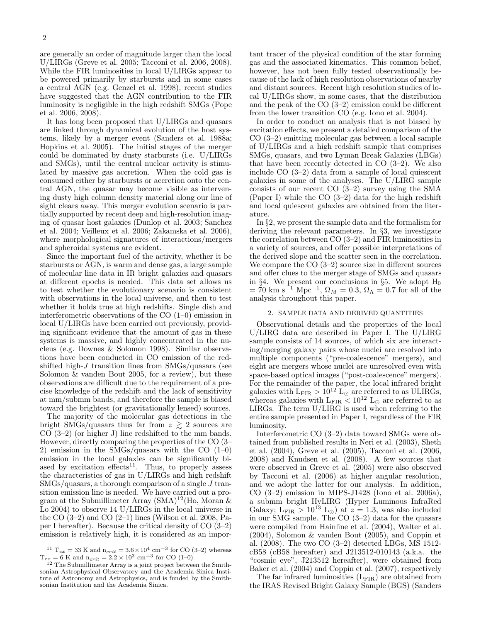are generally an order of magnitude larger than the local U/LIRGs (Greve et al. 2005; Tacconi et al. 2006, 2008). While the FIR luminosities in local U/LIRGs appear to be powered primarily by starbursts and in some cases a central AGN (e.g. Genzel et al. 1998), recent studies have suggested that the AGN contribution to the FIR luminosity is negligible in the high redshift SMGs (Pope et al. 2006, 2008).

It has long been proposed that U/LIRGs and quasars are linked through dynamical evolution of the host systems, likely by a merger event (Sanders et al. 1988a; Hopkins et al. 2005). The initial stages of the merger could be dominated by dusty starbursts (i.e. U/LIRGs and SMGs), until the central nuclear activity is stimulated by massive gas accretion. When the cold gas is consumed either by starbursts or accretion onto the central AGN, the quasar may become visible as intervening dusty high column density material along our line of sight clears away. This merger evolution scenario is partially supported by recent deep and high-resolution imaging of quasar host galaxies (Dunlop et al. 2003; Sanchez et al. 2004; Veilleux et al. 2006; Zakamska et al. 2006), where morphological signatures of interactions/mergers and spheroidal systems are evident.

Since the important fuel of the activity, whether it be starbursts or AGN, is warm and dense gas, a large sample of molecular line data in IR bright galaxies and quasars at different epochs is needed. This data set allows us to test whether the evolutionary scenario is consistent with observations in the local universe, and then to test whether it holds true at high redshifts. Single dish and interferometric observations of the CO (1–0) emission in local U/LIRGs have been carried out previously, providing significant evidence that the amount of gas in these systems is massive, and highly concentrated in the nucleus (e.g. Downes & Solomon 1998). Similar observations have been conducted in CO emission of the redshifted high-J transition lines from SMGs/quasars (see Solomon & vanden Bout 2005, for a review), but these observations are difficult due to the requirement of a precise knowledge of the redshift and the lack of sensitivity at mm/submm bands, and therefore the sample is biased toward the brightest (or gravitationally lensed) sources.

The majority of the molecular gas detections in the bright SMGs/quasars thus far from  $z \gtrsim 2$  sources are CO (3–2) (or higher J) line redshifted to the mm bands. However, directly comparing the properties of the CO (3– 2) emission in the SMGs/quasars with the CO  $(1-0)$ emission in the local galaxies can be significantly biased by excitation effects<sup>11</sup>. Thus, to properly assess the characteristics of gas in U/LIRGs and high redshift  $\text{SMGs/quasars},$  a thorough comparison of a single J transition emission line is needed. We have carried out a program at the Submillimeter Array  $(SMA)^{12}$ (Ho, Moran & Lo 2004) to observe 14 U/LIRGs in the local universe in the CO  $(3-2)$  and CO  $(2-1)$  lines (Wilson et al. 2008, Paper I hereafter). Because the critical density of CO (3–2) emission is relatively high, it is considered as an important tracer of the physical condition of the star forming gas and the associated kinematics. This common belief, however, has not been fully tested observationally because of the lack of high resolution observations of nearby and distant sources. Recent high resolution studies of local U/LIRGs show, in some cases, that the distribution and the peak of the CO (3–2) emission could be different from the lower transition CO (e.g. Iono et al. 2004).

In order to conduct an analysis that is not biased by excitation effects, we present a detailed comparison of the CO (3–2) emitting molecular gas between a local sample of U/LIRGs and a high redshift sample that comprises SMGs, quasars, and two Lyman Break Galaxies (LBGs) that have been recently detected in CO (3–2). We also include CO (3–2) data from a sample of local quiescent galaxies in some of the analyses. The U/LIRG sample consists of our recent CO (3–2) survey using the SMA (Paper I) while the CO  $(3-2)$  data for the high redshift and local quiescent galaxies are obtained from the literature.

In §2, we present the sample data and the formalism for deriving the relevant parameters. In §3, we investigate the correlation between CO (3–2) and FIR luminosities in a variety of sources, and offer possible interpretations of the derived slope and the scatter seen in the correlation. We compare the CO  $(3-2)$  source size in different sources and offer clues to the merger stage of SMGs and quasars in §4. We present our conclusions in §5. We adopt  $H_0$  $= 70 \text{ km s}^{-1} \text{ Mpc}^{-1}, \Omega_M = 0.3, \Omega_{\Lambda} = 0.7 \text{ for all of the}$ analysis throughout this paper.

#### 2. SAMPLE DATA AND DERIVED QUANTITIES

Observational details and the properties of the local U/LIRG data are described in Paper I. The U/LIRG sample consists of 14 sources, of which six are interacting/merging galaxy pairs whose nuclei are resolved into multiple components ("pre-coalescence" mergers), and eight are mergers whose nuclei are unresolved even with space-based optical images ("post-coalescence" mergers). For the remainder of the paper, the local infrared bright galaxies with  $L_{\text{FIR}} > 10^{12} L_{\odot}$  are referred to as ULIRGs, whereas galaxies with  $L_{\text{FIR}} \leq 10^{12}$  L<sub>⊙</sub> are referred to as LIRGs. The term U/LIRG is used when referring to the entire sample presented in Paper I, regardless of the FIR luminosity.

Interferometric CO (3–2) data toward SMGs were obtained from published results in Neri et al. (2003), Sheth et al. (2004), Greve et al. (2005), Tacconi et al. (2006, 2008) and Knudsen et al. (2008). A few sources that were observed in Greve et al.  $(2005)$  were also observed by Tacconi et al. (2006) at higher angular resolution, and we adopt the latter for our analysis. In addition, CO (3–2) emission in MIPS-J1428 (Iono et al. 2006a), a submm bright HyLIRG (Hyper Luminous InfraRed Galaxy; L<sub>FIR</sub> >  $10^{13}$  L<sub>☉</sub>) at  $z = 1.3$ , was also included in our SMG sample. The CO (3–2) data for the quasars were compiled from Hainline et al. (2004), Walter et al. (2004), Solomon & vanden Bout (2005), and Coppin et al. (2008). The two CO (3–2) detected LBGs, MS 1512 cB58 (cB58 hereafter) and J213512-010143 (a.k.a. the "cosmic eye", J213512 hereafter), were obtained from Baker et al. (2004) and Coppin et al. (2007), respectively

The far infrared luminosities  $(L_{\text{FIR}})$  are obtained from the IRAS Revised Bright Galaxy Sample (BGS) (Sanders

<sup>&</sup>lt;sup>11</sup> T<sub>ex</sub> = 33 K and n<sub>crit</sub> =  $3.6 \times 10^4$  cm<sup>-3</sup> for CO (3-2) whereas T<sub>ex</sub> = 6 K and n<sub>crit</sub> =  $2.2 \times 10^3$  cm<sup>-3</sup> for CO (1-0)

<sup>&</sup>lt;sup>12</sup> The Submillimeter Array is a joint project between the Smithsonian Astrophysical Observatory and the Academia Sinica Institute of Astronomy and Astrophysics, and is funded by the Smithsonian Institution and the Academia Sinica.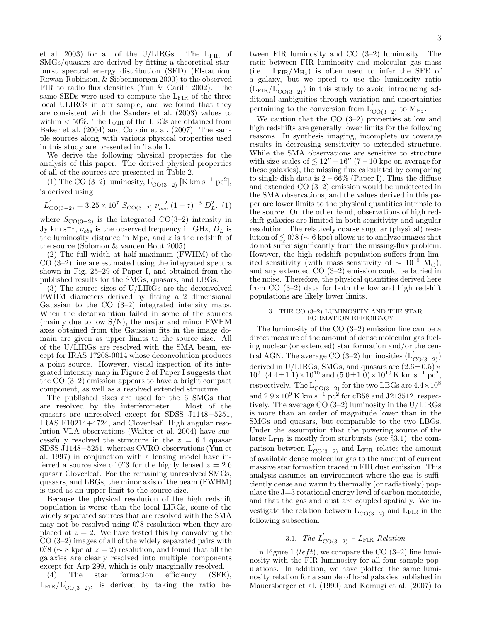et al. 2003) for all of the U/LIRGs. The  $L_{\text{FIR}}$  of SMGs/quasars are derived by fitting a theoretical starburst spectral energy distribution (SED) (Efstathiou, Rowan-Robinson, & Siebenmorgen 2000) to the observed FIR to radio flux densities (Yun & Carilli 2002). The same SEDs were used to compute the  $L_{\text{FIR}}$  of the three local ULIRGs in our sample, and we found that they are consistent with the Sanders et al. (2003) values to within  $< 50\%$ . The L<sub>FIR</sub> of the LBGs are obtained from Baker et al. (2004) and Coppin et al. (2007). The sample sources along with various physical properties used in this study are presented in Table 1.

We derive the following physical properties for the analysis of this paper. The derived physical properties of all of the sources are presented in Table 2.

(1) The CO (3–2) luminosity,  $L'_{CO(3-2)}$  [K km s<sup>-1</sup> pc<sup>2</sup>], is derived using

$$
L'_{\text{CO}(3-2)} = 3.25 \times 10^7 \ S_{\text{CO}(3-2)} \ \nu_{obs}^{-2} \ (1+z)^{-3} \ D_L^2. \ (1)
$$

where  $S_{\text{CO}(3-2)}$  is the integrated CO(3–2) intensity in Jy km s<sup>-1</sup>,  $\nu_{obs}$  is the observed frequency in GHz,  $D_L$  is the luminosity distance in Mpc, and  $z$  is the redshift of the source (Solomon & vanden Bout 2005).

(2) The full width at half maximum (FWHM) of the CO (3–2) line are estimated using the integrated spectra shown in Fig. 25–29 of Paper I, and obtained from the published results for the SMGs, quasars, and LBGs.

(3) The source sizes of U/LIRGs are the deconvolved FWHM diameters derived by fitting a 2 dimensional Gaussian to the  $CO$   $(3-2)$  integrated intensity maps. When the deconvolution failed in some of the sources (mainly due to low S/N), the major and minor FWHM axes obtained from the Gaussian fits in the image domain are given as upper limits to the source size. All of the U/LIRGs are resolved with the SMA beam, except for IRAS 17208-0014 whose deconvolution produces a point source. However, visual inspection of its integrated intensity map in Figure 2 of Paper I suggests that the CO (3–2) emission appears to have a bright compact component, as well as a resolved extended structure.

The published sizes are used for the 6 SMGs that are resolved by the interferometer. Most of the quasars are unresolved except for SDSS J1148+5251, IRAS F10214+4724, and Cloverleaf. High angular resolution VLA observations (Walter et al. 2004) have successfully resolved the structure in the  $z = 6.4$  quasar SDSS J1148+5251, whereas OVRO observations (Yun et al. 1997) in conjunction with a lensing model have inferred a source size of 0'' 3 for the highly lensed  $z = 2.6$ quasar Cloverleaf. For the remaining unresolved SMGs, quasars, and LBGs, the minor axis of the beam (FWHM) is used as an upper limit to the source size.

Because the physical resolution of the high redshift population is worse than the local LIRGs, some of the widely separated sources that are resolved with the SMA may not be resolved using 0.'8 resolution when they are placed at  $z = 2$ . We have tested this by convolving the CO (3–2) images of all of the widely separated pairs with  $0''8$  ( $\sim 8$  kpc at  $z = 2$ ) resolution, and found that all the galaxies are clearly resolved into multiple components

except for Arp 299, which is only marginally resolved.<br>
(4) The star formation efficiency (SFE star formation efficiency (SFE),  $\text{L}_{\text{FIR}}/\text{L}_{\text{CO(3-2)}}'$ , is derived by taking the ratio between FIR luminosity and CO (3–2) luminosity. The ratio between FIR luminosity and molecular gas mass (i.e.  $L_{\text{FIR}}/M_{\text{H}_2}$ ) is often used to infer the SFE of a galaxy, but we opted to use the luminosity ratio  $(L_{\text{FIR}}/L_{\text{CO(3-2)}})$  in this study to avoid introducing additional ambiguities through variation and uncertainties pertaining to the conversion from  $L'_{CO(3-2)}$  to  $M_{H_2}$ .

We caution that the CO (3–2) properties at low and high redshifts are generally lower limits for the following reasons. In synthesis imaging, incomplete uv coverage results in decreasing sensitivity to extended structure. While the SMA observations are sensitive to structure with size scales of  $\leq 12'' - 16''$  (7 – 10 kpc on average for these galaxies), the missing flux calculated by comparing to single dish data is  $2 - 66\%$  (Paper I). Thus the diffuse and extended CO (3–2) emission would be undetected in the SMA observations, and the values derived in this paper are lower limits to the physical quantities intrinsic to the source. On the other hand, observations of high redshift galaxies are limited in both sensitivity and angular resolution. The relatively coarse angular (physical) resolution of  $\lesssim$  0''8 (∼ 6 kpc) allows us to analyze images that do not suffer significantly from the missing-flux problem. However, the high redshift population suffers from limited sensitivity (with mass sensitivity of  $\sim 10^{10}$  M<sub>☉</sub>), and any extended CO (3–2) emission could be buried in the noise. Therefore, the physical quantities derived here from CO (3–2) data for both the low and high redshift populations are likely lower limits.

### 3. THE CO (3–2) LUMINOSITY AND THE STAR FORMATION EFFICIENCY

The luminosity of the CO (3–2) emission line can be a direct measure of the amount of dense molecular gas fueling nuclear (or extended) star formation and/or the central AGN. The average CO (3–2) luminosities  $(L'_{CO(3-2)})$ derived in U/LIRGs, SMGs, and quasars are  $(2.6\pm0.5) \times 10^{9}$ ,  $(4.4\pm1.1) \times 10^{10}$  and  $(5.0\pm1.0) \times 10^{10}$  K km s<sup>-1</sup> pc<sup>2</sup>, respectively. The  $L'_{\rm CO(3-2)}$  for the two LBGs are  $4.4\times10^8$ and  $2.9 \times 10^9$  K km s<sup>-1</sup> pc<sup>2</sup> for cB58 and J213512, respec-<br>in Fig. 2.8 and  $\frac{1213512}{\text{N}}$  for  $\frac{1}{100}$ tively. The average  $CO(3-2)$  luminosity in the U/LIRGs is more than an order of magnitude lower than in the SMGs and quasars, but comparable to the two LBGs. Under the assumption that the powering source of the large  $L_{\text{FIR}}$  is mostly from starbursts (see §3.1), the comparison between  $L'_{CO(3-2)}$  and L<sub>FIR</sub> relates the amount of available dense molecular gas to the amount of current massive star formation traced in FIR dust emission. This analysis assumes an environment where the gas is sufficiently dense and warm to thermally (or radiatively) populate the J=3 rotational energy level of carbon monoxide, and that the gas and dust are coupled spatially. We investigate the relation between  $L'_{CO(3-2)}$  and  $L_{\text{FIR}}$  in the following subsection.

# 3.1. The  $L'_{\text{CO}(3-2)}$  –  $L_{\text{FIR}}$  Relation

In Figure 1 (left), we compare the CO  $(3-2)$  line luminosity with the FIR luminosity for all four sample populations. In addition, we have plotted the same luminosity relation for a sample of local galaxies published in Mauersberger et al. (1999) and Komugi et al. (2007) to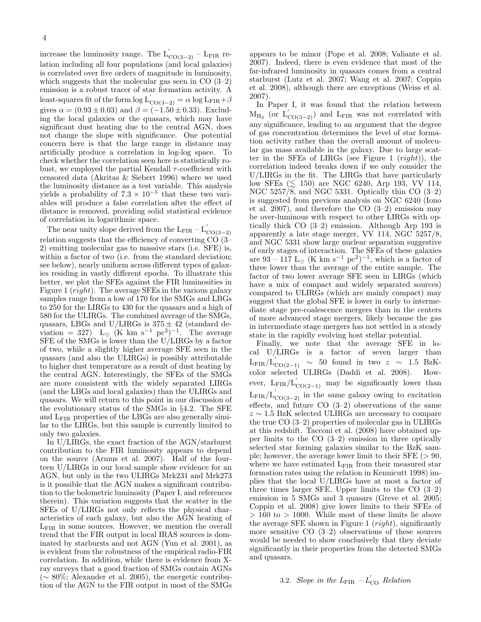increase the luminosity range. The  $L'_{CO(3-2)}$  – L<sub>FIR</sub> relation including all four populations (and local galaxies) is correlated over five orders of magnitude in luminosity, which suggests that the molecular gas seen in  $CO(3-2)$ emission is a robust tracer of star formation activity. A least-squares fit of the form  $\log L'_{\rm CO(3-2)} = \alpha \log L_{\rm FIR} + \beta$ gives  $\alpha = (0.93 \pm 0.03)$  and  $\beta = (-1.50 \pm 0.33)$ . Excluding the local galaxies or the quasars, which may have significant dust heating due to the central AGN, does not change the slope with significance. One potential concern here is that the large range in distance may artificially produce a correlation in log-log space. To check whether the correlation seen here is statistically robust, we employed the partial Kendall  $\tau$ -coefficient with censored data (Akritas & Siebert 1996) where we used the luminosity distance as a test variable. This analysis yields a probability of  $7.3 \times 10^{-5}$  that these two variables will produce a false correlation after the effect of distance is removed, providing solid statistical evidence of correlation in logarithmic space.

The near unity slope derived from the  $L_{\text{FIR}} - L'_{\text{CO(3-2)}}$ relation suggests that the efficiency of converting  $\overline{CO}$  (3– 2) emitting molecular gas to massive stars (i.e. SFE) is, within a factor of two (i.e. from the standard deviation; see below), nearly uniform across different types of galaxies residing in vastly different epochs. To illustrate this better, we plot the SFEs against the FIR luminosities in Figure 1 ( $right$ ). The average SFEs in the various galaxy samples range from a low of 170 for the SMGs and LBGs to 250 for the LIRGs to 430 for the quasars and a high of 580 for the ULIRGs. The combined average of the SMGs, quasars, LBGs and U/LIRGs is  $375 \pm 42$  (standard deviation = 327) L<sub>☉</sub> (K km s<sup>-1</sup> pc<sup>2</sup>)<sup>-1</sup>. The average SFE of the SMGs is lower than the U/LIRGs by a factor of two, while a slightly higher average SFE seen in the quasars (and also the ULIRGs) is possibly attributable to higher dust temperature as a result of dust heating by the central AGN. Interestingly, the SFEs of the SMGs are more consistent with the widely separated LIRGs (and the LBGs and local galaxies) than the ULIRGs and quasars. We will return to this point in our discussion of the evolutionary status of the SMGs in §4.2. The SFE and LFIR properties of the LBGs are also generally similar to the LIRGs, but this sample is currently limited to only two galaxies.

In U/LIRGs, the exact fraction of the AGN/starburst contribution to the FIR luminosity appears to depend on the source (Armus et al. 2007). Half of the fourteen U/LIRGs in our local sample show evidence for an AGN, but only in the two ULIRGs Mrk231 and Mrk273 is it possible that the AGN makes a significant contribution to the bolometric luminosity (Paper I, and references therein). This variation suggests that the scatter in the SFEs of U/LIRGs not only reflects the physical characteristics of each galaxy, but also the AGN heating of  $L_{\rm FIR}$  in some sources. However, we mention the overall trend that the FIR output in local IRAS sources is dominated by starbursts and not AGN (Yun et al. 2001), as is evident from the robustness of the empirical radio-FIR correlation. In addition, while there is evidence from Xray surveys that a good fraction of SMGs contain AGNs (∼ 80%; Alexander et al. 2005), the energetic contribution of the AGN to the FIR output in most of the SMGs

appears to be minor (Pope et al. 2008; Valiante et al. 2007). Indeed, there is even evidence that most of the far-infrared luminosity in quasars comes from a central starburst (Lutz et al. 2007; Wang et al. 2007; Coppin et al. 2008), although there are exceptions (Weiss et al. 2007).

In Paper I, it was found that the relation between  $M_{H_2}$  (or  $L'_{CO(3-2)}$ ) and L<sub>FIR</sub> was not correlated with any significance, leading to an argument that the degree of gas concentration determines the level of star formation activity rather than the overall amount of molecular gas mass available in the galaxy. Due to large scatter in the SFEs of LIRGs (see Figure 1  $(right)$ ), the correlation indeed breaks down if we only consider the U/LIRGs in the fit. The LIRGs that have particularly low SFEs  $(\leq 150)$  are NGC 6240, Arp 193, VV 114, NGC 5257/8, and NGC 5331. Optically thin CO (3–2) is suggested from previous analysis on NGC 6240 (Iono et al. 2007), and therefore the CO (3–2) emission may be over-luminous with respect to other LIRGs with optically thick CO (3–2) emission. Although Arp 193 is apparently a late stage merger, VV 114, NGC 5257/8, and NGC 5331 show large nuclear separation suggestive of early stages of interaction. The SFEs of these galaxies are 93 – 117 L<sub>☉</sub> (K km s<sup>-1</sup> pc<sup>2</sup>)<sup>-1</sup>, which is a factor of three lower than the average of the entire sample. The factor of two lower average SFE seen in LIRGs (which have a mix of compact and widely separated sources) compared to ULIRGs (which are mainly compact) may suggest that the global SFE is lower in early to intermediate stage pre-coalescence mergers than in the centers of more advanced stage mergers, likely because the gas in intermediate stage mergers has not settled in a steady state in the rapidly evolving host stellar potential.

Finally, we note that the average SFE in local U/LIRGs is a factor of seven larger than  $\text{L}_{\text{FIR}}/\text{L}_{\text{CO}(2-1)}^{'}$  ~ 50 found in two  $z \sim 1.5$  BzKcolor selected ULIRGs (Daddi et al. 2008). However,  $L_{\text{FIR}}/L'_{\text{CO}(2-1)}$  may be significantly lower than  $L_{\text{FIR}}/L'_{\text{CO(3-2)}}$  in the same galaxy owing to excitation effects, and future CO (3–2) observations of the same  $z \sim 1.5$  BzK selected ULIRGs are necessary to compare the true CO (3–2) properties of molecular gas in ULIRGs at this redshift. Tacconi et al. (2008) have obtained upper limits to the CO (3–2) emission in three optically selected star forming galaxies similar to the BzK sample; however, the average lower limit to their  $SFE$  ( $> 90$ , where we have estimated  $L_{\text{FIR}}$  from their measured star formation rates using the relation in Kennicutt 1998) implies that the local U/LIRGs have at most a factor of three times larger SFE. Upper limits to the CO (3–2) emission in 5 SMGs and 3 quasars (Greve et al. 2005; Coppin et al. 2008) give lower limits to their SFEs of  $> 160$  to  $> 1000$ . While most of these limits lie above the average SFE shown in Figure 1  $(right)$ , significantly more sensitive  $CO(3-2)$  observations of these sources would be needed to show conclusively that they deviate significantly in their properties from the detected SMGs and quasars.

# 3.2. Slope in the  $L_{\rm FIR}$  –  $L^{'}_{\rm CO}$  Relation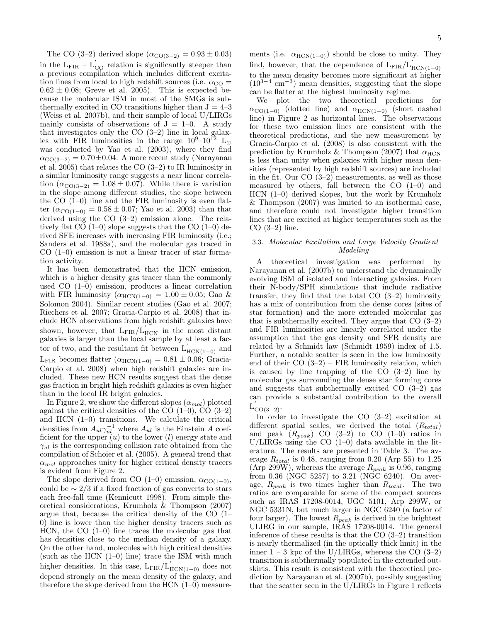The CO (3–2) derived slope  $(\alpha_{\text{CO}(3-2)} = 0.93 \pm 0.03)$ in the  $L_{\text{FIR}} - L'_{\text{CO}}$  relation is significantly steeper than a previous compilation which includes different excitation lines from local to high redshift sources (i.e.  $\alpha_{\text{CO}} =$  $0.62 \pm 0.08$ ; Greve et al. 2005). This is expected because the molecular ISM in most of the SMGs is subthermally excited in CO transitions higher than  $J = 4-3$ (Weiss et al. 2007b), and their sample of local U/LIRGs mainly consists of observations of  $J = 1-0$ . A study that investigates only the CO (3–2) line in local galaxies with FIR luminosities in the range  $10^9-10^{12}$  L<sub>⊙</sub> was conducted by Yao et al. (2003), where they find  $\alpha_{\text{CO}(3-2)} = 0.70 \pm 0.04$ . A more recent study (Narayanan et al. 2005) that relates the CO (3–2) to IR luminosity in a similar luminosity range suggests a near linear correlation  $(\alpha_{\text{CO(3-2)}} = 1.08 \pm 0.07)$ . While there is variation in the slope among different studies, the slope between the CO (1–0) line and the FIR luminosity is even flatter ( $\alpha_{\text{CO}(1-0)} = 0.58 \pm 0.07$ ; Yao et al. 2003) than that derived using the CO (3–2) emission alone. The relatively flat CO  $(1-0)$  slope suggests that the CO  $(1-0)$  derived SFE increases with increasing FIR luminosity (i.e.; Sanders et al. 1988a), and the molecular gas traced in CO (1–0) emission is not a linear tracer of star formation activity.

It has been demonstrated that the HCN emission, which is a higher density gas tracer than the commonly used CO (1–0) emission, produces a linear correlation with FIR luminosity ( $\alpha_{\text{HCN}(1-0)} = 1.00 \pm 0.05$ ; Gao & Solomon 2004). Similar recent studies (Gao et al. 2007; Riechers et al. 2007; Gracia-Carpio et al. 2008) that include HCN observations from high redshift galaxies have shown, however, that  $L_{\text{FIR}}/L_{\text{HCN}}^{'}$  in the most distant galaxies is larger than the local sample by at least a factor of two, and the resultant fit between  $L'_{\text{HCN}(1-0)}$  and L<sub>FIR</sub> becomes flatter  $(\alpha_{\text{HCN}(1-0)} = 0.81 \pm 0.06;$  Gracia-Carpio et al. 2008) when high redshift galaxies are included. These new HCN results suggest that the dense gas fraction in bright high redshift galaxies is even higher than in the local IR bright galaxies.

In Figure 2, we show the different slopes  $(\alpha_{mol})$  plotted against the critical densities of the CO  $(1-0)$ , CO  $(3-2)$ and HCN (1–0) transitions. We calculate the critical densities from  $A_{ul} \gamma_{ul}^{-1}$  where  $A_{ul}$  is the Einstein A coefficient for the upper  $(u)$  to the lower  $(l)$  energy state and  $\gamma_{ul}$  is the corresponding collision rate obtained from the compilation of Schoier et al. (2005). A general trend that  $\alpha_{mol}$  approaches unity for higher critical density tracers is evident from Figure 2.

The slope derived from CO (1–0) emission,  $\alpha_{\text{CO}(1-0)}$ , could be  $\sim 2/3$  if a fixed fraction of gas converts to stars each free-fall time (Kennicutt 1998). From simple theoretical considerations, Krumholz & Thompson (2007) argue that, because the critical density of the CO (1– 0) line is lower than the higher density tracers such as HCN, the CO  $(1-0)$  line traces the molecular gas that has densities close to the median density of a galaxy. On the other hand, molecules with high critical densities (such as the HCN  $(1-0)$  line) trace the ISM with much higher densities. In this case,  $L_{\text{FIR}}/L'_{\text{HCN}(1-0)}$  does not depend strongly on the mean density of the galaxy, and therefore the slope derived from the HCN  $(1-0)$  measure-

ments (i.e.  $\alpha_{\text{HCN}(1-0)}$ ) should be close to unity. They find, however, that the dependence of  $L_{\text{FIR}}/L'_{\text{HCN}(1-0)}$ to the mean density becomes more significant at higher (103−<sup>4</sup> cm−<sup>3</sup> ) mean densities, suggesting that the slope can be flatter at the highest luminosity regime.

We plot the two theoretical predictions for  $\alpha_{\text{CO(1-0)}}$  (dotted line) and  $\alpha_{\text{HCN(1-0)}}$  (short dashed line) in Figure 2 as horizontal lines. The observations for these two emission lines are consistent with the theoretical predictions, and the new measurement by Gracia-Carpio et al. (2008) is also consistent with the prediction by Krumholz & Thompson (2007) that  $\alpha_{\text{HCN}}$ is less than unity when galaxies with higher mean densities (represented by high redshift sources) are included in the fit. Our CO (3–2) measurements, as well as those measured by others, fall between the  $CO$  (1–0) and HCN (1–0) derived slopes, but the work by Krumholz & Thompson (2007) was limited to an isothermal case, and therefore could not investigate higher transition lines that are excited at higher temperatures such as the CO (3–2) line.

### 3.3. Molecular Excitation and Large Velocity Gradient Modeling

A theoretical investigation was performed by Narayanan et al. (2007b) to understand the dynamically evolving ISM of isolated and interacting galaxies. From their N-body/SPH simulations that include radiative transfer, they find that the total CO (3–2) luminosity has a mix of contribution from the dense cores (sites of star formation) and the more extended molecular gas that is subthermally excited. They argue that CO (3–2) and FIR luminosities are linearly correlated under the assumption that the gas density and SFR density are related by a Schmidt law (Schmidt 1959) index of 1.5. Further, a notable scatter is seen in the low luminosity end of their  $CO (3-2) - FIR$  luminosity relation, which is caused by line trapping of the  $CO$   $(3-2)$  line by molecular gas surrounding the dense star forming cores and suggests that subthermally excited CO  $(3-2)$  gas can provide a substantial contribution to the overall  $L'_{CO(3-2)}$ .

In order to investigate the CO (3–2) excitation at different spatial scales, we derived the total  $(R_{total})$ and peak  $(R_{peak})$  CO  $(3-2)$  to CO  $(1-0)$  ratios in U/LIRGs using the CO  $(1-0)$  data available in the literature. The results are presented in Table 3. The average  $R_{total}$  is 0.48, ranging from 0.20 (Arp 55) to 1.25 (Arp 299W), whereas the average  $R_{peak}$  is 0.96, ranging from  $0.36$  (NGC 5257) to  $3.21$  (NGC 6240). On average,  $R_{peak}$  is two times higher than  $R_{total}$ . The two ratios are comparable for some of the compact sources such as IRAS 17208-0014, UGC 5101, Arp 299W, or NGC 5331N, but much larger in NGC 6240 (a factor of four larger). The lowest  $R_{peak}$  is derived in the brightest ULIRG in our sample, IRAS 17208-0014. The general inference of these results is that the CO (3–2) transition is nearly thermalized (in the optically thick limit) in the inner  $1 - 3$  kpc of the U/LIRGs, whereas the CO  $(3-2)$ transition is subthermally populated in the extended outskirts. This result is consistent with the theoretical prediction by Narayanan et al. (2007b), possibly suggesting that the scatter seen in the U/LIRGs in Figure 1 reflects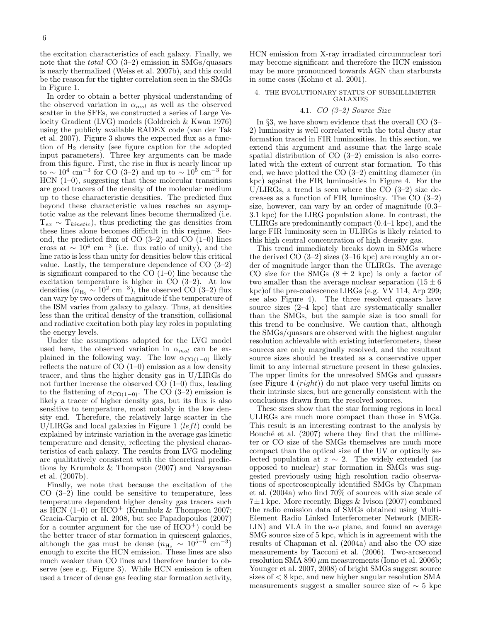the excitation characteristics of each galaxy. Finally, we note that the *total* CO  $(3-2)$  emission in SMGs/quasars is nearly thermalized (Weiss et al. 2007b), and this could be the reason for the tighter correlation seen in the SMGs in Figure 1.

In order to obtain a better physical understanding of the observed variation in  $\alpha_{mol}$  as well as the observed scatter in the SFEs, we constructed a series of Large Velocity Gradient (LVG) models (Goldreich & Kwan 1976) using the publicly available RADEX code (van der Tak et al. 2007). Figure 3 shows the expected flux as a function of  $H_2$  density (see figure caption for the adopted input parameters). Three key arguments can be made from this figure. First, the rise in flux is nearly linear up to ~ 10<sup>4</sup> cm<sup>-3</sup> for CO (3-2) and up to ~ 10<sup>5</sup> cm<sup>-3</sup> for HCN (1–0), suggesting that these molecular transitions are good tracers of the density of the molecular medium up to these characteristic densities. The predicted flux beyond these characteristic values reaches an asymptotic value as the relevant lines become thermalized (i.e.  $T_{ex} \sim T_{kinetic}$ , thus predicting the gas densities from these lines alone becomes difficult in this regime. Second, the predicted flux of CO  $(3-2)$  and CO  $(1-0)$  lines cross at  $\sim 10^4$  cm<sup>-3</sup> (i.e. flux ratio of unity), and the line ratio is less than unity for densities below this critical value. Lastly, the temperature dependence of CO (3–2) is significant compared to the CO (1–0) line because the excitation temperature is higher in CO (3–2). At low densities  $(n_{\rm H_2} \sim 10^2 \text{ cm}^{-3})$ , the observed CO (3–2) flux can vary by two orders of magnitude if the temperature of the ISM varies from galaxy to galaxy. Thus, at densities less than the critical density of the transition, collisional and radiative excitation both play key roles in populating the energy levels.

Under the assumptions adopted for the LVG model used here, the observed variation in  $\alpha_{mol}$  can be explained in the following way. The low  $\alpha_{\text{CO}(1-0)}$  likely reflects the nature of CO (1–0) emission as a low density tracer, and thus the higher density gas in U/LIRGs do not further increase the observed  $CO(1-0)$  flux, leading to the flattening of  $\alpha_{\text{CO}(1-0)}$ . The CO (3–2) emission is likely a tracer of higher density gas, but its flux is also sensitive to temperature, most notably in the low density end. Therefore, the relatively large scatter in the U/LIRGs and local galaxies in Figure 1 (*left*) could be explained by intrinsic variation in the average gas kinetic temperature and density, reflecting the physical characteristics of each galaxy. The results from LVG modeling are qualitatively consistent with the theoretical predictions by Krumholz & Thompson (2007) and Narayanan et al. (2007b).

Finally, we note that because the excitation of the CO (3–2) line could be sensitive to temperature, less temperature dependent higher density gas tracers such as HCN  $(1-0)$  or HCO<sup>+</sup> (Krumholz & Thompson 2007; Gracia-Carpio et al. 2008, but see Papadopoulos (2007) for a counter argument for the use of  $HCO<sup>+</sup>$ ) could be the better tracer of star formation in quiescent galaxies, although the gas must be dense  $(n_{\text{H}_2} \sim 10^{5-\delta} \text{ cm}^{-3})$ enough to excite the HCN emission. These lines are also much weaker than CO lines and therefore harder to observe (see e.g. Figure 3). While HCN emission is often used a tracer of dense gas feeding star formation activity,

HCN emission from X-ray irradiated circumnuclear tori may become significant and therefore the HCN emission may be more pronounced towards AGN than starbursts in some cases (Kohno et al. 2001).

### 4. THE EVOLUTIONARY STATUS OF SUBMILLIMETER GALAXIES

### 4.1. CO (3–2) Source Size

In §3, we have shown evidence that the overall CO (3– 2) luminosity is well correlated with the total dusty star formation traced in FIR luminosities. In this section, we extend this argument and assume that the large scale spatial distribution of CO (3–2) emission is also correlated with the extent of current star formation. To this end, we have plotted the CO (3–2) emitting diameter (in kpc) against the FIR luminosities in Figure 4. For the U/LIRGs, a trend is seen where the CO  $(3-2)$  size decreases as a function of FIR luminosity. The CO (3–2) size, however, can vary by an order of magnitude (0.3– 3.1 kpc) for the LIRG population alone. In contrast, the ULIRGs are predominantly compact (0.4–1 kpc), and the large FIR luminosity seen in ULIRGs is likely related to this high central concentration of high density gas.

This trend immediately breaks down in SMGs where the derived CO  $(3-2)$  sizes  $(3-16 \text{ kpc})$  are roughly an order of magnitude larger than the ULIRGs. The average CO size for the SMGs  $(8 \pm 2 \text{ kpc})$  is only a factor of two smaller than the average nuclear separation  $(15 \pm 6)$ kpc)of the pre-coalescence LIRGs (e.g. VV 114, Arp 299; see also Figure 4). The three resolved quasars have source sizes (2–4 kpc) that are systematically smaller than the SMGs, but the sample size is too small for this trend to be conclusive. We caution that, although the SMGs/quasars are observed with the highest angular resolution achievable with existing interferometers, these sources are only marginally resolved, and the resultant source sizes should be treated as a conservative upper limit to any internal structure present in these galaxies. The upper limits for the unresolved SMGs and quasars (see Figure 4  $(right)$ ) do not place very useful limits on their intrinsic sizes, but are generally consistent with the conclusions drawn from the resolved sources.

These sizes show that the star forming regions in local ULIRGs are much more compact than those in SMGs. This result is an interesting contrast to the analysis by Bouché et al.  $(2007)$  where they find that the millimeter or CO size of the SMGs themselves are much more compact than the optical size of the UV or optically selected population at  $z \sim 2$ . The widely extended (as opposed to nuclear) star formation in SMGs was suggested previously using high resolution radio observations of spectroscopically identified SMGs by Chapman et al. (2004a) who find 70% of sources with size scale of  $7\pm1$  kpc. More recently, Biggs & Ivison (2007) combined the radio emission data of SMGs obtained using Multi-Element Radio Linked Interferometer Network (MER-LIN) and VLA in the  $u$ - $v$  plane, and found an average SMG source size of 5 kpc, which is in agreement with the results of Chapman et al. (2004a) and also the CO size measurements by Tacconi et al. (2006). Two-arcsecond resolution SMA 890  $\mu$ m measurements (Iono et al. 2006b; Younger et al.  $2007, 2008$  of bright SMGs suggest source sizes of < 8 kpc, and new higher angular resolution SMA measurements suggest a smaller source size of  $\sim$  5 kpc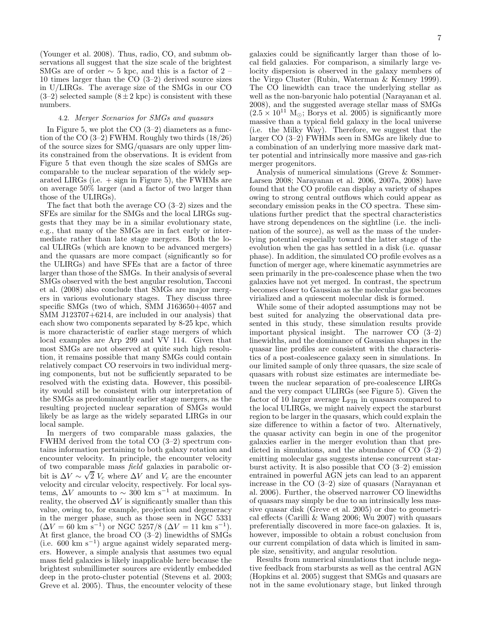(Younger et al. 2008). Thus, radio, CO, and submm observations all suggest that the size scale of the brightest SMGs are of order  $\sim 5$  kpc, and this is a factor of 2 – 10 times larger than the CO (3–2) derived source sizes in U/LIRGs. The average size of the SMGs in our CO  $(3-2)$  selected sample  $(8 \pm 2 \text{ kpc})$  is consistent with these numbers.

### 4.2. Merger Scenarios for SMGs and quasars

In Figure 5, we plot the  $CO(3-2)$  diameters as a function of the CO (3–2) FWHM. Roughly two thirds (18/26) of the source sizes for SMG/quasars are only upper limits constrained from the observations. It is evident from Figure 5 that even though the size scales of SMGs are comparable to the nuclear separation of the widely separated LIRGs (i.e.  $+$  sign in Figure 5), the FWHMs are on average 50% larger (and a factor of two larger than those of the ULIRGs).

The fact that both the average CO (3–2) sizes and the SFEs are similar for the SMGs and the local LIRGs suggests that they may be in a similar evolutionary state, e.g., that many of the SMGs are in fact early or intermediate rather than late stage mergers. Both the local ULIRGs (which are known to be advanced mergers) and the quasars are more compact (significantly so for the ULIRGs) and have SFEs that are a factor of three larger than those of the SMGs. In their analysis of several SMGs observed with the best angular resolution, Tacconi et al. (2008) also conclude that SMGs are major mergers in various evolutionary stages. They discuss three specific SMGs (two of which, SMM J163650+4057 and SMM J123707+6214, are included in our analysis) that each show two components separated by 8-25 kpc, which is more characteristic of earlier stage mergers of which local examples are Arp 299 and VV 114. Given that most SMGs are not observed at quite such high resolution, it remains possible that many SMGs could contain relatively compact CO reservoirs in two individual merging components, but not be sufficiently separated to be resolved with the existing data. However, this possibility would still be consistent with our interpretation of the SMGs as predominantly earlier stage mergers, as the resulting projected nuclear separation of SMGs would likely be as large as the widely separated LIRGs in our local sample.

In mergers of two comparable mass galaxies, the FWHM derived from the total CO (3–2) spectrum contains information pertaining to both galaxy rotation and encounter velocity. In principle, the encounter velocity of two comparable mass field galaxies in parabolic orbit is  $\Delta V \sim \sqrt{2} V_c$  where  $\Delta V$  and  $V_c$  are the encounter velocity and circular velocity, respectively. For local systems,  $\Delta V$  amounts to  $\sim 300$  km s<sup>-1</sup> at maximum. In reality, the observed  $\Delta V$  is significantly smaller than this value, owing to, for example, projection and degeneracy in the merger phase, such as those seen in NGC 5331  $(\Delta V = 60 \text{ km s}^{-1})$  or NGC 5257/8 ( $\Delta V = 11 \text{ km s}^{-1}$ ). At first glance, the broad CO (3–2) linewidths of SMGs (i.e. 600 km s<sup>−</sup><sup>1</sup> ) argue against widely separated mergers. However, a simple analysis that assumes two equal mass field galaxies is likely inapplicable here because the brightest submillimeter sources are evidently embedded deep in the proto-cluster potential (Stevens et al. 2003; Greve et al. 2005). Thus, the encounter velocity of these

galaxies could be significantly larger than those of local field galaxies. For comparison, a similarly large velocity dispersion is observed in the galaxy members of the Virgo Cluster (Rubin, Waterman & Kenney 1999). The CO linewidth can trace the underlying stellar as well as the non-baryonic halo potential (Narayanan et al. 2008), and the suggested average stellar mass of SMGs  $(2.5 \times 10^{11} \text{ M}_{\odot}; \overline{\text{Borys}} \text{ et al. } 2005)$  is significantly more massive than a typical field galaxy in the local universe (i.e. the Milky Way). Therefore, we suggest that the larger CO (3–2) FWHMs seen in SMGs are likely due to a combination of an underlying more massive dark matter potential and intrinsically more massive and gas-rich merger progenitors.

Analysis of numerical simulations (Greve & Sommer-Larsen 2008; Narayanan et al. 2006, 2007a, 2008) have found that the CO profile can display a variety of shapes owing to strong central outflows which could appear as secondary emission peaks in the CO spectra. These simulations further predict that the spectral characteristics have strong dependences on the sightline (i.e. the inclination of the source), as well as the mass of the underlying potential especially toward the latter stage of the evolution when the gas has settled in a disk (i.e. quasar phase). In addition, the simulated CO profile evolves as a function of merger age, where kinematic asymmetries are seen primarily in the pre-coalescence phase when the two galaxies have not yet merged. In contrast, the spectrum becomes closer to Gaussian as the molecular gas becomes virialized and a quiescent molecular disk is formed.

While some of their adopted assumptions may not be best suited for analyzing the observational data presented in this study, these simulation results provide important physical insight. The narrower CO (3–2) linewidths, and the dominance of Gaussian shapes in the quasar line profiles are consistent with the characteristics of a post-coalescence galaxy seen in simulations. In our limited sample of only three quasars, the size scale of quasars with robust size estimates are intermediate between the nuclear separation of pre-coalescence LIRGs and the very compact ULIRGs (see Figure 5). Given the factor of 10 larger average  $L_{\text{FIR}}$  in quasars compared to the local ULIRGs, we might naively expect the starburst region to be larger in the quasars, which could explain the size difference to within a factor of two. Alternatively, the quasar activity can begin in one of the progenitor galaxies earlier in the merger evolution than that predicted in simulations, and the abundance of CO (3–2) emitting molecular gas suggests intense concurrent starburst activity. It is also possible that CO (3–2) emission entrained in powerful AGN jets can lead to an apparent increase in the CO (3–2) size of quasars (Narayanan et al. 2006). Further, the observed narrower CO linewidths of quasars may simply be due to an intrinsically less massive quasar disk (Greve et al. 2005) or due to geometrical effects (Carilli & Wang 2006; Wu 2007) with quasars preferentially discovered in more face-on galaxies. It is, however, impossible to obtain a robust conclusion from our current compilation of data which is limited in sample size, sensitivity, and angular resolution.

Results from numerical simulations that include negative feedback from starbursts as well as the central AGN (Hopkins et al. 2005) suggest that SMGs and quasars are not in the same evolutionary stage, but linked through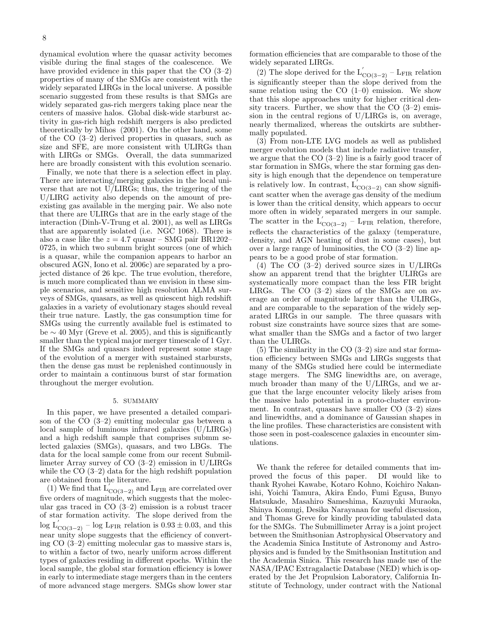dynamical evolution where the quasar activity becomes visible during the final stages of the coalescence. We have provided evidence in this paper that the CO  $(3-2)$ properties of many of the SMGs are consistent with the widely separated LIRGs in the local universe. A possible scenario suggested from these results is that SMGs are widely separated gas-rich mergers taking place near the centers of massive halos. Global disk-wide starburst activity in gas-rich high redshift mergers is also predicted theoretically by Mihos (2001). On the other hand, some of the CO (3–2) derived properties in quasars, such as size and SFE, are more consistent with ULIRGs than with LIRGs or SMGs. Overall, the data summarized here are broadly consistent with this evolution scenario.

Finally, we note that there is a selection effect in play. There are interacting/merging galaxies in the local universe that are not U/LIRGs; thus, the triggering of the U/LIRG activity also depends on the amount of preexisting gas available in the merging pair. We also note that there are ULIRGs that are in the early stage of the interaction (Dinh-V-Trung et al. 2001), as well as LIRGs that are apparently isolated (i.e. NGC 1068). There is also a case like the  $z = 4.7$  quasar – SMG pair BR1202– 0725, in which two submm bright sources (one of which is a quasar, while the companion appears to harbor an obscured AGN, Iono et al. 2006c) are separated by a projected distance of 26 kpc. The true evolution, therefore, is much more complicated than we envision in these simple scenarios, and sensitive high resolution ALMA surveys of SMGs, quasars, as well as quiescent high redshift galaxies in a variety of evolutionary stages should reveal their true nature. Lastly, the gas consumption time for SMGs using the currently available fuel is estimated to be  $\sim$  40 Myr (Greve et al. 2005), and this is significantly smaller than the typical major merger timescale of 1 Gyr. If the SMGs and quasars indeed represent some stage of the evolution of a merger with sustained starbursts, then the dense gas must be replenished continuously in order to maintain a continuous burst of star formation throughout the merger evolution.

### 5. SUMMARY

In this paper, we have presented a detailed comparison of the CO (3–2) emitting molecular gas between a local sample of luminous infrared galaxies (U/LIRGs) and a high redshift sample that comprises submm selected galaxies (SMGs), quasars, and two LBGs. The data for the local sample come from our recent Submillimeter Array survey of CO (3–2) emission in U/LIRGs while the CO (3–2) data for the high redshift population are obtained from the literature.

(1) We find that  $L'_{CO(3-2)}$  and L<sub>FIR</sub> are correlated over five orders of magnitude, which suggests that the molecular gas traced in CO (3–2) emission is a robust tracer of star formation activity. The slope derived from the  $\log L'_{\text{CO(3-2)}}$  – log L<sub>FIR</sub> relation is  $0.93 \pm 0.03$ , and this near unity slope suggests that the efficiency of converting CO (3–2) emitting molecular gas to massive stars is, to within a factor of two, nearly uniform across different types of galaxies residing in different epochs. Within the local sample, the global star formation efficiency is lower in early to intermediate stage mergers than in the centers of more advanced stage mergers. SMGs show lower star

formation efficiencies that are comparable to those of the widely separated LIRGs.

(2) The slope derived for the  $L'_{CO(3-2)}$  – L<sub>FIR</sub> relation is significantly steeper than the slope derived from the same relation using the  $CO(1-0)$  emission. We show that this slope approaches unity for higher critical density tracers. Further, we show that the  $CO(3-2)$  emission in the central regions of U/LIRGs is, on average, nearly thermalized, whereas the outskirts are subthermally populated.

(3) From non-LTE LVG models as well as published merger evolution models that include radiative transfer, we argue that the CO (3–2) line is a fairly good tracer of star formation in SMGs, where the star forming gas density is high enough that the dependence on temperature is relatively low. In contrast,  $\overline{L}'_{CO(3-2)}$  can show significant scatter when the average gas density of the medium is lower than the critical density, which appears to occur more often in widely separated mergers in our sample. The scatter in the  $L'_{CO(3-2)}$  – L<sub>FIR</sub> relation, therefore, reflects the characteristics of the galaxy (temperature, density, and AGN heating of dust in some cases), but over a large range of luminosities, the CO (3–2) line appears to be a good probe of star formation.

(4) The CO (3–2) derived source sizes in U/LIRGs show an apparent trend that the brighter ULIRGs are systematically more compact than the less FIR bright LIRGs. The CO (3–2) sizes of the SMGs are on average an order of magnitude larger than the ULIRGs, and are comparable to the separation of the widely separated LIRGs in our sample. The three quasars with robust size constraints have source sizes that are somewhat smaller than the SMGs and a factor of two larger than the ULIRGs.

 $(5)$  The similarity in the CO  $(3-2)$  size and star formation efficiency between SMGs and LIRGs suggests that many of the SMGs studied here could be intermediate stage mergers. The SMG linewidths are, on average, much broader than many of the U/LIRGs, and we argue that the large encounter velocity likely arises from the massive halo potential in a proto-cluster environment. In contrast, quasars have smaller  $CO(3-2)$  sizes and linewidths, and a dominance of Gaussian shapes in the line profiles. These characteristics are consistent with those seen in post-coalescence galaxies in encounter simulations.

We thank the referee for detailed comments that improved the focus of this paper. DI would like to thank Ryohei Kawabe, Kotaro Kohno, Koichiro Nakanishi, Yoichi Tamura, Akira Endo, Fumi Egusa, Bunyo Hatsukade, Masahiro Sameshima, Kazuyuki Muraoka, Shinya Komugi, Desika Narayanan for useful discussion, and Thomas Greve for kindly providing tabulated data for the SMGs. The Submillimeter Array is a joint project between the Smithsonian Astrophysical Observatory and the Academia Sinica Institute of Astronomy and Astrophysics and is funded by the Smithsonian Institution and the Academia Sinica. This research has made use of the NASA/IPAC Extragalactic Database (NED) which is operated by the Jet Propulsion Laboratory, California Institute of Technology, under contract with the National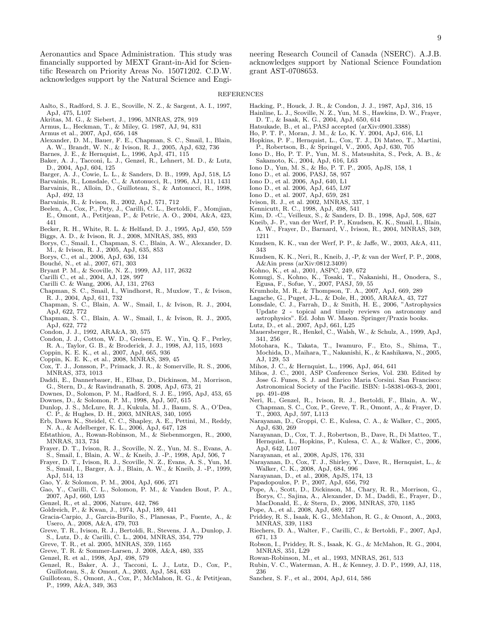Aeronautics and Space Administration. This study was financially supported by MEXT Grant-in-Aid for Scientific Research on Priority Areas No. 15071202. C.D.W. acknowledges support by the Natural Science and Engineering Research Council of Canada (NSERC). A.J.B. acknowledges support by National Science Foundation grant AST-0708653.

#### REFERENCES

- Aalto, S., Radford, S. J. E., Scoville, N. Z., & Sargent, A. I., 1997, ApJ, 475, L107
- Akritas, M. G., & Siebert, J., 1996, MNRAS, 278, 919
- Armus, L., Heckman, T., & Miley, G. 1987, AJ, 94, 831
- Armus et al., 2007, ApJ, 656, 148
- Alexander, D. M., Bauer, F. E., Chapman, S. C., Smail, I., Blain, A. W., Brandt, W. N., & Ivison, R. J., 2005, ApJ, 632, 736
- Barnes, J. E., & Hernquist, L., 1996, ApJ, 471, 115
- Baker, A. J., Tacconi, L. J., Genzel, R., Lehnert, M. D., & Lutz, D., 2004, ApJ, 604, 125
- Barger, A. J., Cowie, L. L., & Sanders, D. B., 1999, ApJ, 518, L5
- Barvainis, R., Lonsdale, C., & Antonucci, R., 1996, AJ, 111, 1431
- Barvainis, R., Alloin, D., Guilloteau, S., & Antonucci, R., 1998, ApJ, 492, 13
- Barvainis, R., & Ivison, R., 2002, ApJ, 571, 712
- Beelen, A., Cox, P., Pety, J., Carilli, C. L., Bertoldi, F., Momjian, E., Omont, A., Petitjean, P., & Petric, A. O., 2004, A&A, 423, 441
- Becker, R. H., White, R. L. & Helfand, D. J., 1995, ApJ, 450, 559 Biggs, A. D., & Ivison, R. J., 2008, MNRAS, 385, 893
- Borys, C., Smail, I., Chapman, S. C., Blain, A. W., Alexander, D. M., & Ivison, R. J., 2005, ApJ, 635, 853
- Borys, C., et al., 2006, ApJ, 636, 134
- Bouché, N., et al., 2007, 671, 303
- Bryant P. M., & Scoville, N. Z., 1999, AJ, 117, 2632
- Carilli C., et al., 2004, AJ, 128, 997
- Carilli C. & Wang, 2006, AJ, 131, 2763
- Chapman, S. C., Smail, I., Windhorst, R., Muxlow, T., & Ivison, R. J., 2004, ApJ, 611, 732
- Chapman, S. C., Blain, A. W., Smail, I., & Ivison, R. J., 2004, ApJ, 622, 772
- Chapman, S. C., Blain, A. W., Smail, I., & Ivison, R. J., 2005, ApJ, 622, 772
- Condon, J. J., 1992, ARA&A, 30, 575
- Condon, J. J., Cotton, W. D., Greisen, E. W., Yin, Q. F., Perley, R. A., Taylor, G. B., & Broderick, J. J., 1998, AJ, 115, 1693
- Coppin, K. E. K., et al., 2007, ApJ, 665, 936
- Coppin, K. E. K., et al., 2008, MNRAS, 389, 45
- Cox, T. J., Jonsson, P., Primack, J. R., & Somerville, R. S., 2006, MNRAS, 373, 1013
- Daddi, E., Dannerbauer, H., Elbaz, D., Dickinson, M., Morrison, G., Stern, D., & Ravindranath, S. 2008, ApJ, 673, 21
- Downes, D., Solomon, P. M., Radford, S. J. E., 1995, ApJ, 453, 65
- Downes, D., & Solomon, P. M., 1998, ApJ, 507, 615 Dunlop, J. S., McLure, R. J., Kukula, M. J., Baum, S. A., O'Dea,
- C. P., & Hughes, D. H., 2003, MNRAS, 340, 1095
- Erb, Dawn K., Steidel, C. C., Shapley, A. E., Pettini, M., Reddy, N. A., & Adelberger, K. L., 2006, ApJ, 647, 128
- Efstathiou, A., Rowan-Robinson, M., & Siebenmorgen, R., 2000, MNRAS, 313, 734
- Frayer, D. T., Ivison, R. J., Scoville, N. Z., Yun, M. S., Evans, A. S., Smail, I., Blain, A. W., & Kneib, J. -P., 1998, ApJ, 506, 7
- Frayer, D. T., Ivison, R. J., Scoville, N. Z., Evans, A. S., Yun, M.
- S., Smail, I., Barger, A. J., Blain, A. W., & Kneib, J. -P., 1999, ApJ, 514, 13
- Gao, Y. & Solomon, P. M., 2004, ApJ, 606, 271
- Gao, Y., Carilli, C. L., Solomon, P. M., & Vanden Bout, P. A., 2007, ApJ, 660, L93
- Genzel, R., et al., 2006, Nature, 442, 786
- Goldreich, P., & Kwan, J., 1974, ApJ, 189, 441
- Gracia-Carpio, J., Garcia-Burilo, S., Planesas, P., Fuente, A., & Usero, A., 2008, A&A, 479, 703
- Greve, T. R., Ivison, R. J., Bertoldi, R., Stevens, J. A., Dunlop, J. S., Lutz, D., & Carilli, C. L., 2004, MNRAS, 354, 779
- Greve, T. R., et al. 2005, MNRAS, 359, 1165
- Greve, T. R. & Sommer-Larsen, J. 2008, A&A, 480, 335
- Genzel, R. et al., 1998, ApJ, 498, 579
- Genzel, R., Baker, A. J., Tacconi, L. J., Lutz, D., Cox, P., Guilloteau, S., & Omont, A., 2003, ApJ, 584, 633
- Guilloteau, S., Omont, A., Cox, P., McMahon, R. G., & Petitjean, P., 1999, A&A, 349, 363
- Hacking, P., Houck, J. R., & Condon, J. J., 1987, ApJ, 316, 15
- Hainline, L. J., Scoville, N. Z., Yun, M. S., Hawkins, D. W., Frayer, D. T., & Isaak, K. G., 2004, ApJ, 650, 614
- Hatsukade, B., et al., PASJ accepted (arXiv:0901.3388)
- Ho, P. T. P., Moran, J. M., & Lo, K. Y. 2004, ApJ, 616, L1
- Hopkins, P. F., Hernquist, L., Cox, T. J., Di Mateo, T., Martini, P., Robertson, B., & Springel, V., 2005, ApJ, 630, 705 Iono D., Ho, P. T. P., Yun, M. S., Matsushita, S., Peck, A. B., &
- Sakamoto, K., 2004, ApJ, 616, L63
- Iono D., Yun, M. S., & Ho, P. T. P., 2005, ApJS, 158, 1
- Iono D., et al. 2006, PASJ, 58, 957
- Iono D., et al. 2006, ApJ, 640, L1
- Iono D., et al. 2006, ApJ, 645, L97
- Iono D., et al. 2007, ApJ, 659, 281
- Ivison, R. J., et al. 2002, MNRAS, 337, 1
- Kennicutt, R. C., 1998, ApJ, 498, 541
- Kim, D. -C., Veilleux, S., & Sanders, D. B., 1998, ApJ, 508, 627
- Kneib, J-. P., van der Werf, P. P., Knudsen, K. K., Smail, I., Blain, A. W., Frayer, D., Barnard, V., Ivison, R., 2004, MNRAS, 349, 1211
- Knudsen, K. K., van der Werf, P. P., & Jaffe, W., 2003, A&A, 411, 343
- Knudsen, K. K., Neri, R., Kneib, J, -P, & van der Werf, P. P., 2008, A&Ain press (arXiv:0812.3409)
- Kohno, K., et al., 2001, ASPC, 249, 672
- Komugi, S., Kohno, K., Tosaki, T., Nakanishi, H., Onodera, S., Egusa, F., Sofue, Y., 2007, PASJ, 59, 55
- Krumholz, M. R., & Thompson, T. A., 2007, ApJ, 669, 289
- Lagache, G., Puget, J-L., & Dole, H., 2005, ARA&A, 43, 727
- Lonsdale, C. J., Farrah, D., & Smith, H. E., 2006, "Astrophysics Update 2 - topical and timely reviews on astronomy and astrophysics". Ed. John W. Mason. Springer/Praxis books.
- Lutz, D., et al., 2007, ApJ, 661, L25
- Mauersberger, R., Henkel, C., Walsh, W., & Schulz, A., 1999, ApJ, 341, 256
- Motohara, K., Takata, T., Iwamuro, F., Eto, S., Shima, T., Mochida, D., Maihara, T., Nakanishi, K., & Kashikawa, N., 2005, AJ, 129, 53
- Mihos, J. C., & Hernquist, L., 1996, ApJ, 464, 641
- Mihos, J. C., 2001, ASP Conference Series, Vol. 230. Edited by Jose G. Funes, S. J. and Enrico Maria Corsini. San Francisco: Astronomical Society of the Pacific. ISBN: 1-58381-063-3, 2001, pp. 491-498
- Neri, R., Genzel, R., Ivison, R. J., Bertoldi, F., Blain, A. W., Chapman, S. C., Cox, P., Greve, T. R., Omont, A., & Frayer, D. T., 2003, ApJ, 597, L113
- Narayanan, D., Groppi, C. E., Kulesa, C. A., & Walker, C., 2005, ApJ, 630, 269
- Narayanan, D., Cox, T. J., Robertson, B., Dave, R., Di Matteo, T., Hernquist, L., Hopkins, P., Kulesa, C. A., & Walker, C., 2006, ApJ, 642, L107
- Narayanan, et al., 2008, ApJS, 176, 331
- Narayanan, D., Cox, T. J., Shirley, Y., Dave, R., Hernquist, L., & Walker, C. K., 2008, ApJ, 684, 996
- Narayanan, D., et al., 2008, ApJS, 174, 13
- Papadopoulos, P. P., 2007, ApJ, 656, 792
- Pope, A., Scott, D., Dickinson, M., Chary, R. R., Morrison, G., Borys, C., Sajina, A., Alexander, D. M., Daddi, E., Frayer, D., MacDonald, E., & Stern, D., 2006, MNRAS, 370, 1185
- Pope, A., et al., 2008, ApJ, 689, 127
- Priddey, R. S., Isaak, K. G., McMahon, R. G., & Omont, A., 2003, MNRAS, 339, 1183
- Riechers, D. A., Walter, F., Carilli, C., & Bertoldi, F., 2007, ApJ, 671, 13
- Robson, I., Priddey, R. S., Isaak, K. G., & McMahon, R. G., 2004, MNRAS, 351, L29
- Rowan-Robinson, M., et al., 1993, MNRAS, 261, 513
- Rubin, V. C., Waterman, A. H., & Kenney, J. D. P., 1999, AJ, 118, 236
- Sanchez, S. F., et al., 2004, ApJ, 614, 586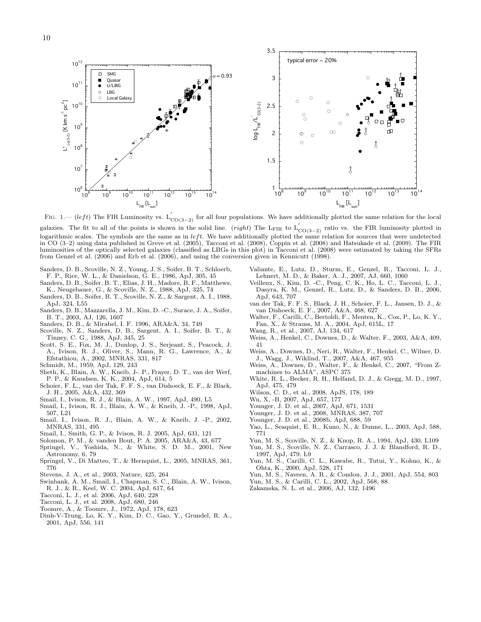$3.5$ typical error  $\sim$  20%  $10^{12}$ **SMG**  $\Box$  $= 0.93$ %  $\blacksquare$ Quasar<br>U/LIRG  $10^{11}$  $\bullet$ LBG  $\circ$ Local Galax  $\circ$ Ċ  $\circ$  $10^{10}$  $\mathsf{L^*}_{_{\mathsf{co}(3\text{-}2)}}$  [K km s $^{\mathsf{-1}}$  pc $^{\mathsf{2}}$ ]  $\log L_{_{\rm FIR}}/L_{_{\rm CO(3-2)}}$  $2.5$  $\circ$  $\circ$  $\circ$  $10<sup>9</sup>$  $\Box$  $\infty$ 2  $\mathbb{O}$  $\circ$  $\circ$  $10^8$  $1.5$  $10^{7}$ t  $\Phi$  $10<sup>6</sup>$  $^{1}$   $^{1}$   $^{0}$  $10<sup>5</sup>$  $10^{10}$   $10^{11}$   $10^{12}$   $10^{13}$  10  $10<sup>°</sup>$  $10$  $10^{10}$   $10^{11}$   $10^{12}$   $10^{13}$   $10^{14}$  $\mathsf{L}_{_{\mathsf{FIR}}}$   $[\mathsf{L}_{_{\mathsf{sun}}}]$  $\mathsf{L}_{_{\mathsf{FIR}}}$   $[\mathsf{L}_{_{\mathsf{sun}}}]$ 

FIG. 1.— (left) The FIR Luminosity vs.  $L'_{CO(3-2)}$  for all four populations. We have additionally plotted the same relation for the local

galaxies. The fit to all of the points is shown in the solid line. (right) The L<sub>FIR</sub> to  $L'_{CO(3-2)}$  ratio vs. the FIR luminosity plotted in logarithmic scales. The symbols are the same as in  $left$ . We have additionally plotted the same relation for sources that were undetected in CO (3–2) using data published in Greve et al. (2005), Tacconi et al. (2008), Coppin et al. (2008) and Hatsukade et al. (2009). The FIR luminosities of the optically selected galaxies (classified as LBGs in this plot) in Tacconi et al. (2008) were estimated by taking the SFRs from Genzel et al. (2006) and Erb et al. (2006), and using the conversion given in Kennicutt (1998).

- Sanders, D. B., Scoville, N. Z., Young, J. S., Soifer, B. T., Schloerb, F. P., Rice, W. L., & Danielson, G. E., 1986, ApJ, 305, 45
- Sanders, D. B., Soifer, B. T., Elias, J. H., Madore, B. F., Matthews, K., Neugebauer, G., & Scoville, N. Z., 1988, ApJ, 325, 74
- Sanders, D. B., Soifer, B. T., Scoville, N. Z., & Sargent, A. I., 1988, ApJ, 324, L55
- Sanders, D. B., Mazzarella, J. M., Kim, D. -C., Surace, J. A., Soifer, B. T., 2003, AJ, 126, 1607
- Sanders, D. B., & Mirabel, I. F. 1996, ARA&A, 34, 749
- Scoville, N. Z., Sanders, D. B., Sargent, A. I., Soifer, B. T., & Tinney, C. G., 1988, ApJ, 345, 25
- Scott, S. E., Fox, M. J., Dunlop, J. S., Serjeant, S., Peacock, J. A., Ivison, R. J., Oliver, S., Mann, R. G., Lawrence, A., & Efstathiou, A., 2002, MNRAS, 331, 817
- Schmidt, M., 1959, ApJ, 129, 243
- Sheth, K., Blain, A. W., Kneib, J-. P., Frayer, D. T., van der Werf, P. P., & Knudsen, K. K., 2004, ApJ, 614, 5
- Schoier, F. L., van der Tak, F. F. S., van Dishoeck, E. F., & Black, J. H., 2005, A&A, 432, 369
- Smail, I., Ivison, R. J., & Blain, A. W., 1997, ApJ, 490, L5
- Smail, I., Ivison, R. J., Blain, A. W., & Kneib, J. -P., 1998, ApJ, 507, L21
- Smail, I., Ivison, R. J., Blain, A. W., & Kneib, J. -P., 2002, MNRAS, 331, 495
- Smail, I., Smith, G. P., & Ivison, R. J. 2005, ApJ, 631, 121
- Solomon, P. M., & vanden Bout, P. A. 2005, ARA&A, 43, 677
- Springel, V., Yoshida, N., & White, S. D. M., 2001, New Astronomy, 6, 79
- Springel, V., Di Matteo, T., & Hernquist, L., 2005, MNRAS, 361, 776
- Stevens, J. A., et al., 2003, Nature, 425, 264
- Swinbank, A. M., Smail, I., Chapman, S. C., Blain, A. W., Ivison, R. J., & R., Keel, W. C. 2004, ApJ, 617, 64
- Tacconi, L. J., et al. 2006, ApJ, 640, 228
- Tacconi, L. J., et al. 2008, ApJ, 680, 246
- Toomre, A., & Toomre, J., 1972, ApJ, 178, 623
- Dinh-V-Trung, Lo, K. Y., Kim, D. C., Gao, Y., Grundel, R. A., 2001, ApJ, 556, 141
- Valiante, E., Lutz, D., Sturm, E., Genzel, R., Tacconi, L. J., Lehnert, M. D., & Baker, A. J., 2007, AJ, 660, 1060
- Veilleux, S., Kim, D. -C., Peng, C. K., Ho, L. C., Tacconi, L. J., Dasyra, K. M., Genzel, R., Lutz, D., & Sanders, D. B., 2006, ApJ, 643, 707
- van der Tak, F. F. S., Black, J. H., Schoier, F. L., Jansen, D. J., & van Dishoeck, E. F., 2007, A&A, 468, 627
- Walter, F., Carilli, C., Bertoldi, F., Menten, K., Cox, P., Lo, K. Y., Fan, X., & Strauss, M. A., 2004, ApJ, 615L, 17
- Wang, R., et al., 2007, AJ, 134, 617
- Weiss, A., Henkel, C., Downes, D., & Walter, F., 2003, A&A, 409, 41
- Weiss, A., Downes, D., Neri, R., Walter, F., Henkel, C., Wilner, D. J., Wagg, J., Wiklind, T., 2007, A&A, 467, 955
- Weiss, A., Downes, D., Walter, F., & Henkel, C., 2007, "From Zmachines to ALMA", ASPC 375
- White, R. L., Becker, R. H., Helfand, D. J., & Gregg, M. D., 1997, ApJ, 475, 479
- Wilson, C. D., et al., 2008, ApJS, 178, 189
- Wu, X, -B, 2007, ApJ, 657, 177
- Younger, J. D. et al., 2007, ApJ, 671, 1531
- Younger, J. D. et al., 2008, MNRAS, 387, 707
- Younger, J. D. et al., 2008b, ApJ, 688, 59
- Yao, L., Seaquist, E. R., Kuno, N., & Dunne, L., 2003, ApJ, 588, 771
- Yun, M. S., Scoville, N. Z., & Knop, R. A., 1994, ApJ, 430, L109
- Yun, M. S., Scoville, N. Z., Carrasco, J. J. & Blandford, R. D., 1997, ApJ, 479, L9
- Yun, M. S., Carilli, C. L., Kawabe, R., Tutui, Y., Kohno, K., & Ohta, K., 2000, ApJ, 528, 171
- Yun, M. S., Naveen, A. R., & Condon, J. J., 2001, ApJ, 554, 803
- Yun, M. S., & Carilli, C. L., 2002, ApJ, 568, 88
- Zakamska, N. L. et al., 2006, AJ, 132, 1496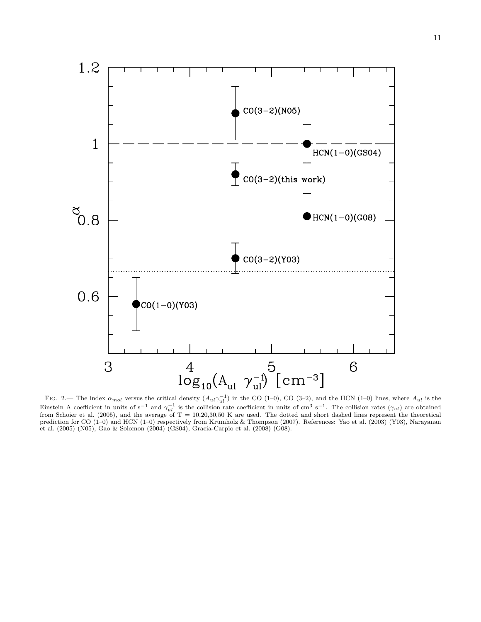



1.2

FIG. 2.— The index  $\alpha_{mol}$  versus the critical density  $(A_{ul}\gamma_{ul}^{-1})$  in the CO (1–0), CO (3–2), and the HCN (1–0) lines, where  $A_{ul}$  is the Einstein A coefficient in units of s<sup>-1</sup> and  $\gamma_{ul}^{-1}$  is the collision rate coefficient in units of cm<sup>3</sup> s<sup>-1</sup>. The collision rates ( $\gamma_{ul}$ ) are obtained from Schoier et al. (2005), and the average of  $T = 10,20,30,50$  K are used. The dotted and short dashed lines represent the theoretical prediction for CO (1–0) and HCN (1–0) respectively from Krumholz & Thompson (2007). References: Yao et al. (2003) (Y03), Narayanan et al. (2005) (N05), Gao & Solomon (2004) (GS04), Gracia-Carpio et al. (2008) (G08).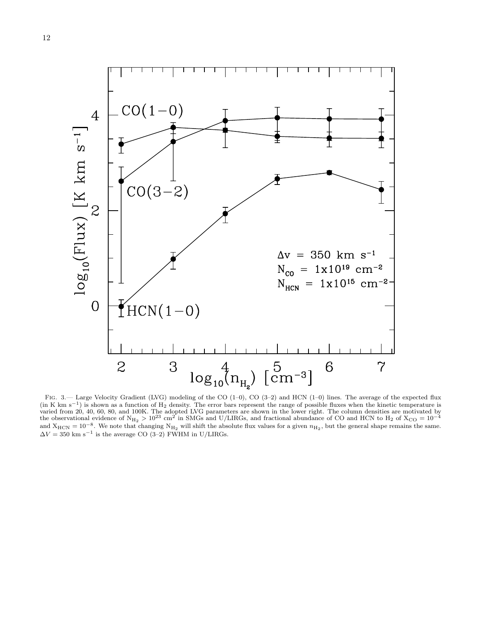

Fig. 3.— Large Velocity Gradient (LVG) modeling of the CO (1–0), CO (3–2) and HCN (1–0) lines. The average of the expected flux (in K km s<sup>-1</sup>) is shown as a function of H<sub>2</sub> density. The error bars represent the range of possible fluxes when the kinetic temperature is varied from 20, 40, 60, 80, and 100K. The adopted LVG parameters are shown in t and  $X_{\text{HCN}} = 10^{-8}$ . We note that changing  $N_{\text{H}_2}$  will shift the absolute flux values for a given  $n_{\text{H}_2}$ , but the general shape remains the same.  $\Delta V = 350$  km s<sup>-1</sup> is the average CO (3-2) FWHM in U/LIRGs.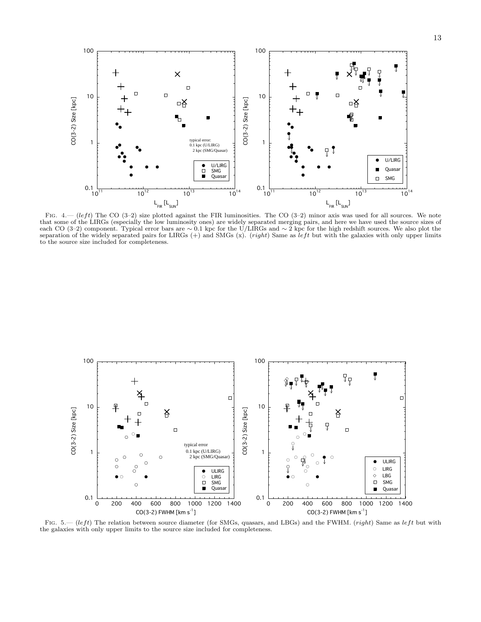

FIG. 4.— (left) The CO (3–2) size plotted against the FIR luminosities. The CO (3–2) minor axis was used for all sources. We note that some of the LIRGs (especially the low luminosity ones) are widely separated merging pairs, and here we have used the source sizes of each CO (3–2) component. Typical error bars are ∼ 0.1 kpc for the U/LIRGs and ∼ 2 kpc for the high redshift sources. We also plot the separation of the widely separated pairs for LIRGs  $(+)$  and SMGs  $(x)$ . (*right*) Same as *left* but with the galaxies with only upper limits to the source size included for completeness.



FIG. 5.— (left) The relation between source diameter (for SMGs, quasars, and LBGs) and the FWHM. (right) Same as left but with the galaxies with only upper limits to the source size included for completeness.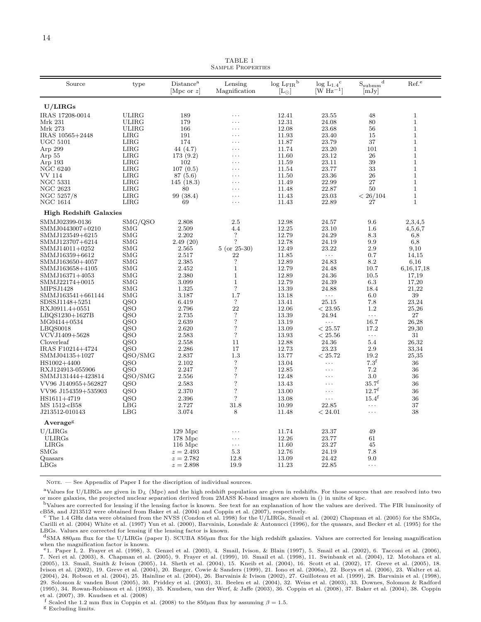TABLE 1 Sample Properties

| Source                             | type                     | Distance <sup>a</sup><br>[Mpc or $z$ ] | Lensing<br>Magnification  | $\log L_{\rm FIR}^{\rm b}$<br>$\mathop{\hbox{\rm L}}\nolimits_\odot$ | $\log L_{1.4}$ <sup>c</sup><br>$\rm [W~Hz^{-1}]$ | $S_{\rm submm}{}^{\rm d}$<br> mJy | Ref. <sup>e</sup>            |
|------------------------------------|--------------------------|----------------------------------------|---------------------------|----------------------------------------------------------------------|--------------------------------------------------|-----------------------------------|------------------------------|
| U/LIRGs                            |                          |                                        |                           |                                                                      |                                                  |                                   |                              |
| IRAS 17208-0014                    | <b>ULIRG</b>             | 189                                    | .                         | 12.41                                                                | 23.55                                            | 48                                | $\mathbf{1}$                 |
| Mrk 231                            | <b>ULIRG</b>             | 179                                    | .                         | 12.31                                                                | 24.08                                            | 80                                | $\mathbf{1}$                 |
| Mrk 273                            | <b>ULIRG</b>             | 166                                    | .                         | 12.08                                                                | 23.68                                            | 56                                | $\mathbf 1$                  |
| IRAS 10565+2448                    | LIRG                     | 191                                    | .                         | 11.93                                                                | 23.40                                            | 15                                | $\mathbf{1}$                 |
| UGC 5101                           | LIRG                     | 174                                    | .                         | 11.87                                                                | 23.79                                            | 37                                | $\mathbf{1}$                 |
| Arp 299                            | LIRG                     | 44 (4.7)                               | .                         | 11.74                                                                | 23.20                                            | 101                               | $\mathbf{1}$                 |
| Arp $55$                           | LIRG                     | 173(9.2)                               | .                         | 11.60                                                                | 23.12                                            | 26                                | $\mathbf{1}$                 |
| Arp 193                            | LIRG                     | 102                                    | .                         | 11.59                                                                | 23.11                                            | 39                                | $\mathbf{1}$                 |
| <b>NGC 6240</b>                    | LIRG                     | 107(0.5)                               | $\cdots$                  | 11.54                                                                | 23.77                                            | 33                                | $\mathbf{1}$                 |
| VV 114                             | <b>LIRG</b>              | 87(5.6)                                | .                         | 11.50                                                                | 23.36                                            | 26                                | $\mathbf{1}$                 |
| NGC 5331<br><b>NGC 2623</b>        | LIRG<br>LIRG             | 145(18.3)<br>80                        | .<br>$\cdots$             | 11.49<br>11.48                                                       | 22.99<br>22.87                                   | 27<br>50                          | $\mathbf{1}$<br>$\mathbf{1}$ |
| NGC 5257/8                         | LIRG                     | 99 (38.4)                              | .                         | 11.43                                                                | 23.03                                            | < 26/104                          | $\mathbf 1$                  |
| NGC 1614                           | LIRG                     | 69                                     | .                         | 11.43                                                                | 22.89                                            | 27                                | $\mathbf{1}$                 |
|                                    |                          |                                        |                           |                                                                      |                                                  |                                   |                              |
| <b>High Redshift Galaxies</b>      |                          |                                        |                           |                                                                      |                                                  |                                   |                              |
| SMMJ02399-0136                     | SMG/QSO                  | 2.808                                  | 2.5                       | 12.98                                                                | 24.57                                            | 9.6                               | 2,3,4,5                      |
| SMMJ0443007+0210                   | <b>SMG</b>               | 2.509<br>2.202                         | 4.4<br>$\overline{\cdot}$ | 12.25                                                                | 23.10                                            | 1.6                               | 4,5,6,7                      |
| SMMJ123549+6215<br>SMMJ123707+6214 | <b>SMG</b><br><b>SMG</b> | 2.49(20)                               | $\overline{\phantom{a}}$  | 12.79<br>12.78                                                       | 24.29<br>24.19                                   | 8.3<br>9.9                        | 6,8<br>6,8                   |
| SMMJ14011+0252                     | <b>SMG</b>               | 2.565                                  | $5$ (or $25-30$ )         | 12.49                                                                | 23.22                                            | 2.9                               | 9,10                         |
| SMMJ16359+6612                     | <b>SMG</b>               | 2.517                                  | 22                        | 11.85                                                                | $\ldots$                                         | 0.7                               | 14,15                        |
| SMMJ163650+4057                    | <b>SMG</b>               | 2.385                                  | $\overline{\cdot}$        | 12.89                                                                | 24.83                                            | 8.2                               | 6,16                         |
| SMMJ163658+4105                    | <b>SMG</b>               | 2.452                                  | $\mathbf{1}$              | 12.79                                                                | 24.48                                            | 10.7                              | 6, 16, 17, 18                |
| SMMJ16371+4053                     | <b>SMG</b>               | 2.380                                  | $\mathbf{1}$              | 12.89                                                                | 24.36                                            | 10.5                              | 17,19                        |
| SMMJ22174+0015                     | <b>SMG</b>               | 3.099                                  | $\mathbf{1}$              | 12.79                                                                | 24.39                                            | 6.3                               | 17,20                        |
| MIPSJ1428                          | <b>SMG</b>               | 1.325                                  | $\overline{\phantom{a}}$  | 13.39                                                                | 24.88                                            | 18.4                              | 21,22                        |
| SMMJ163541+661144                  | <b>SMG</b>               | 3.187                                  | 1.7                       | 13.18                                                                | .                                                | 6.0                               | 39                           |
| SDSSJ1148+5251                     | QSO                      | 6.419                                  | $\overline{\cdot}$        | 13.41                                                                | 25.15                                            | 7.8                               | 23,24                        |
| RXJ0911.4+0551                     | QSO                      | 2.796                                  | 22                        | 12.06                                                                | < 23.95                                          | 1.2                               | 25,26                        |
| LBQS1230+1627B                     | QSO                      | 2.735                                  | $\overline{?}$            | 13.39                                                                | 24.94                                            | $\ldots$                          | 27                           |
| MG0414+0534                        | QSO                      | 2.639                                  | $\overline{\cdot}$        | 13.19                                                                | $\ldots$                                         | 16.7                              | 26,28                        |
| LBQS0018                           | QSO                      | 2.620                                  | $\overline{\cdot}$        | 13.09                                                                | < 25.57                                          | 17.2                              | 29,30                        |
| VCVJ1409+5628                      | QSO                      | 2.583                                  | $\ddot{?}$                | 13.93                                                                | < 25.56                                          | $\ldots$                          | 31                           |
| Cloverleaf                         | QSO                      | 2.558                                  | 11                        | 12.88                                                                | 24.36                                            | 5.4                               | 26,32                        |
| IRAS F10214+4724                   | QSO                      | 2.286                                  | 17                        | 12.73                                                                | 23.23                                            | 2.9                               | 33,34                        |
| SMMJ04135+1027                     | QSO/SMG                  | 2.837                                  | 1.3                       | 13.77                                                                | < 25.72                                          | 19.2                              | $25,\!35$                    |
| HS1002+4400                        | QSO                      | 2.102                                  | $\ddot{?}$                | 13.04                                                                | $\cdots$                                         | 7.3 <sup>f</sup>                  | 36                           |
| RXJ124913-055906                   | QSO                      | 2.247                                  | $\overline{\cdot}$        | 12.85                                                                | $\cdots$                                         | 7.2                               | 36                           |
| SMMJ131444+423814                  | QSO/SMG                  | 2.556                                  | $\ddot{?}$                | 12.48                                                                | .                                                | 3.0                               | 36                           |
| VV96 J140955+562827                | QSO                      | 2.583                                  | $\overline{\cdot}$        | 13.43                                                                | $\cdots$                                         | $35.7^{\rm f}$                    | 36                           |
| VV96 J154359+535903                | QSO                      | 2.370                                  | $\overline{\cdot}$        | 13.00                                                                | $\cdots$                                         | $12.7^f$                          | 36                           |
| HS1611+4719                        | QSO                      | 2.396                                  | $\gamma$                  | 13.08                                                                | $\cdots$                                         | $15.4^{\rm f}$                    | 36                           |
| MS 1512-cB58                       | LBG                      | 2.727                                  | 31.8                      | 10.99                                                                | 22.85                                            | $\ldots$                          | 37                           |
| J213512-010143                     | LBG                      | 3.074                                  | 8                         | 11.48                                                                | < 24.01                                          | $\cdots$                          | 38                           |
| Average <sup>g</sup>               |                          |                                        |                           |                                                                      |                                                  |                                   |                              |
| U/LIRGs                            |                          | $129$ Mpc                              | .                         | 11.74                                                                | 23.37                                            | 49                                |                              |
| <b>ULIRGs</b>                      |                          | $178$ Mpc                              | $\cdots$                  | 12.26                                                                | 23.77                                            | 61                                |                              |
| LIRGs                              |                          | $116$ Mpc                              | $\cdots$                  | 11.60                                                                | 23.27                                            | 45                                |                              |
| <b>SMGs</b>                        |                          | $z = 2.493$                            | 5.3                       | 12.76                                                                | 24.19                                            | 7.8                               |                              |
| Quasars                            |                          | $z = 2.782$                            | 12.8                      | 13.09                                                                | 24.42                                            | 9.0                               |                              |
| LBGs                               |                          | $z = 2.898$                            | 19.9                      | 11.23                                                                | 22.85                                            | $\cdots$                          |                              |

NOTE. — See Appendix of Paper I for the discription of individual sources.

<sup>a</sup>Values for U/LIRGs are given in  $D_L$  (Mpc) and the high redshift population are given in redshifts. For those sources that are resolved into two or more galaxies, the projected nuclear separation derived from 2MASS K-band images are shown in () in units of kpc.

<sup>b</sup>Values are corrected for lensing if the lensing factor is known. See text for an explanation of how the values are derived. The FIR luminosity of cB58, and J213512 were obtained from Baker et al. (2004) and Coppin et al. (2007), respectively.

<sup>c</sup> The 1.4 GHz data were obtained from the NVSS (Condon et al. 1998) for the U/LIRGs, Smail et al. (2002) Chapman et al. (2005) for the SMGs, Carilli et al. (2004) White et al. (1997) Yun et al. (2000), Barvainis, Lonsdale & Antonucci (1996), for the quasars, and Becker et al. (1995) for the LBGs. Values are corrected for lensing if the lensing factor is known.

 $d<sub>SMA</sub>$  880 $\mu$ m flux for the U/LIRGs (paper I). SCUBA 850 $\mu$ m flux for the high redshift galaxies. Values are corrected for lensing magnification when the magnification factor is known.

<sup>e</sup>1. Paper I, 2. Frayer et al. (1998), 3. Genzel et al. (2003), 4. Smail, Ivison, & Blain (1997), 5. Smail et al. (2002), 6. Tacconi et al. (2006), 7. Neri et al. (2003), 8. Chapman et al. (2005), 9. Frayer et al. (1999), 10. Smail et al. (1998), 11. Swinbank et al. (2004), 12. Motohara et al. (2005), 13. Smail, Smith & Ivison (2005), 14. Sheth et al. (2004), 15. Kneib et al. (2004), 16. Scott et al. (2002), 17. Greve et al. (2005), 18. Ivison et al. (2002), 19. Greve et al. (2004), 20. Barger, Cowie & Sanders (1999), 21. Iono et al. (2006a), 22. Borys et al. (2006), 23. Walter et al. (2004), 24. Robson et al. (2004), 25. Hainline et al. (2004), 26. Barvainis & Ivison (2002), 27. Guilloteau et al. (1999), 28. Barvainis et al. (1998), 29. Solomon & vanden Bout (2005), 30. Priddey et al. (2003), 31. Beelen et al. (2004), 32. Weiss et al. (2003), 33. Downes, Solomon & Radford (1995), 34. Rowan-Robinson et al. (1993), 35. Knudsen, van der Werf, & Jaffe (2003), 36. Coppin et al. (2008), 37. Baker et al. (2004), 38. Coppin et al. (2007), 39. Knudsen et al. (2008)

f Scaled the 1.2 mm flux in Coppin et al. (2008) to the  $850\mu$ m flux by assuming  $\beta = 1.5$ .

 $^{\rm g}$  Excluding limits.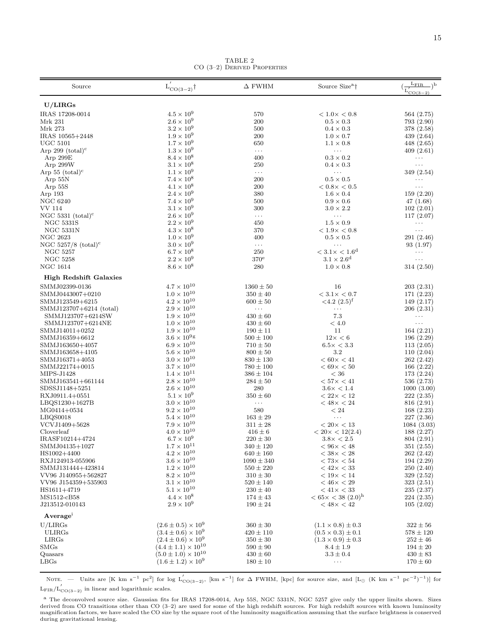| Source                             | ${\rm L'_{CO(3-2)}}\dagger$              | $\Delta$ FWHM                | Source Size <sup>a</sup> †                                  | $L_{\rm FIR}$<br>$\lambda$                           |
|------------------------------------|------------------------------------------|------------------------------|-------------------------------------------------------------|------------------------------------------------------|
|                                    |                                          |                              |                                                             | $\sqrt{\frac{L'_{\text{CO(3)}}}{L'_{\text{CO(3)}}}}$ |
| U/LIRGs                            |                                          |                              |                                                             |                                                      |
| IRAS 17208-0014                    | $4.5 \times 10^9$                        | 570                          | $< 1.0 \times < 0.8$                                        | 564(2.75)                                            |
| Mrk 231                            | $2.6 \times 10^9$<br>$3.2 \times 10^{9}$ | 200<br>500                   | $0.5 \times 0.3$                                            | 793 (2.90)                                           |
| Mrk 273                            | $1.9 \times 10^{9}$                      |                              | $0.4 \times 0.3$                                            | 378 (2.58)                                           |
| IRAS 10565+2448<br><b>UGC 5101</b> | $1.7 \times 10^{9}$                      | 200                          | $1.0 \times 0.7$<br>$1.1 \times 0.8$                        | 439 (2.64)<br>448(2.65)                              |
| Arp 299 $(total)^c$                | $1.3 \times 10^{9}$                      | 650<br>$\ldots$              | $\cdots$                                                    | 409(2.61)                                            |
| Arp 299E                           | $8.4 \times 10^8$                        | 400                          | $0.3 \times 0.2$                                            | $\ldots$                                             |
| Arp 299W                           | $3.1 \times 10^{8}$                      | 250                          | $0.4 \times 0.3$                                            | $\ldots$                                             |
| Arp $55 \text{ (total)}^c$         | $1.1 \times 10^{9}$                      | $\ldots$                     | $\ldots$                                                    | 349(2.54)                                            |
| Arp $55N$                          | $7.4 \times 10^{8}$                      | 200                          | $0.5 \times 0.5$                                            | $\cdots$                                             |
| Arp 55S                            | $4.1 \times 10^{8}$                      | 200                          | $< 0.8 \times < 0.5$                                        | $\cdots$                                             |
| Arp 193                            | $2.4 \times 10^{9}$                      | 380                          | $1.6 \times 0.4$                                            | 159(2.20)                                            |
| <b>NGC 6240</b>                    | $7.4 \times 10^{9}$                      | 500                          | $0.9 \times 0.6$                                            | 47 (1.68)                                            |
| <b>VV 114</b>                      | $3.1 \times 10^9$                        | 300                          | $3.0 \times 2.2$                                            | 102(2.01)                                            |
| NGC 5331 $(total)^c$               | $2.6 \times 10^{9}$                      | $\ldots$                     | $\cdots$                                                    | 117(2.07)                                            |
| <b>NGC 5331S</b>                   | $2.2 \times 10^9$                        | 450                          | $1.5 \times 0.9$                                            | $\ldots$                                             |
| NGC 5331N                          | $4.3 \times 10^8$                        | 370                          | $<1.9\times<0.8$                                            | $\ldots$                                             |
| <b>NGC 2623</b>                    | $1.0 \times 10^{9}$                      | 400                          | $0.5 \times 0.5$                                            | 291 (2.46)                                           |
| NGC 5257/8 $(total)^c$             | $3.0 \times 10^{9}$                      | $\ldots$                     | $\ldots$                                                    | 93 (1.97)                                            |
| <b>NGC 5257</b>                    | $6.7 \times 10^8$                        | 250                          | $< 3.1 \times < 1.6^{\rm d}$                                | $\ldots$                                             |
| <b>NGC 5258</b>                    | $2.2 \times 10^{9}$                      | $370^{\circ}$                | $3.1 \times 2.6^d$                                          | $\ldots$                                             |
| <b>NGC 1614</b>                    | $8.6 \times 10^8$                        | 280                          | $1.0 \times 0.8$                                            | 314(2.50)                                            |
| <b>High Redshift Galaxies</b>      |                                          |                              |                                                             |                                                      |
| SMMJ02399-0136                     | $4.7 \times 10^{10}$                     | $1360 \pm 50$                | 16                                                          | 203(2.31)                                            |
| SMMJ0443007+0210                   | $1.0 \times 10^{10}$                     | $350 \pm 40$                 | $< 3.1 \times < 0.7$                                        | 171(2.23)                                            |
| SMMJ123549+6215                    | $4.2 \times 10^{10}$                     | $600 \pm 50$                 | $<$ 4.2 $(2.5)$ <sup>f</sup>                                | 149(2.17)                                            |
| SMMJ123707+6214 (total)            | $2.9 \times 10^{10}$                     | $\ldots$                     | $\cdots$                                                    | 206(2.31)                                            |
| SMMJ123707+6214SW                  | $1.9 \times 10^{10}$                     | $430 \pm 60$                 | 7.3                                                         | $\cdots$                                             |
| SMMJ123707+6214NE                  | $1.0 \times 10^{10}$                     | $430 \pm 60$                 | < 4.0                                                       | $\ldots$                                             |
| SMMJ14011+0252                     | $1.9 \times 10^{10}$                     | $190 \pm 11$                 | 11                                                          | 164(2.21)                                            |
| SMMJ16359+6612                     | $3.6 \times 10^{9}$ g                    | $500 \pm 100$                | $12\times < 6$                                              | 196 (2.29)                                           |
| SMMJ163650+4057                    | $6.9 \times 10^{10}$                     | $710 \pm 50$                 | $6.5 \times < 3.3$                                          | 113(2.05)                                            |
| SMMJ163658+4105                    | $5.6 \times 10^{10}$                     | $800 \pm 50$                 | $3.2\,$                                                     | 110(2.04)                                            |
| SMMJ16371+4053                     | $3.0 \times 10^{10}$                     | $830 \pm 130$                | $< 60 \times < 41$                                          | 262(2.42)                                            |
| SMMJ22174+0015                     | $3.7 \times 10^{10}$                     | $780 \pm 100$                | $< 69 \times < 50$                                          | 166 (2.22)                                           |
| MIPS-J1428                         | $1.4 \times 10^{11}$                     | $386 \pm 104$                | $< 36\,$                                                    | 173 (2.24)                                           |
| SMMJ163541+661144                  | $2.8 \times 10^{10}$                     | $284 \pm 50$                 | $< 57 \times < 41$                                          | 536 (2.73)                                           |
| SDSSJ1148+5251                     | $2.6 \times 10^{10}$                     | 280                          | $3.6 \times < 1.4$                                          | 1000(3.00)                                           |
| RXJ0911.4+0551                     | $5.1\times10^9$                          | $350 \pm 60$                 | $< 22 \times < 12$                                          | 222(2.35)                                            |
| LBQS1230+1627B                     | $3.0 \times 10^{10}$                     | $\ldots$                     | $< 48 \times < 24$                                          | 816 (2.91)                                           |
| MG0414+0534                        | $9.2 \times 10^{10}$                     | 580                          | $<\,24$                                                     | 168(2.23)                                            |
| LBQS0018                           | $5.4 \times 10^{10}$                     | $163 \pm 29$                 | $\ldots$                                                    | 227 (2.36)                                           |
| VCVJ1409+5628                      | $7.9\times10^{10}$                       | $311 \pm 28$                 | $<20\times<13$                                              | 1084 (3.03)                                          |
| Cloverleaf                         | $4.0 \times 10^{10}$                     | $416 \pm 6$                  | $< 20 \times < 12(2.4)$                                     | 188(2.27)                                            |
| IRASF10214+4724                    | $6.7 \times 10^{9}$                      | $220 \pm 30$                 | $3.8 \times < 2.5$                                          | 804 (2.91)                                           |
| SMMJ04135+1027                     | $1.7 \times 10^{11}$                     | $340 \pm 120$                | $<96\times<48$                                              | 351 (2.55)                                           |
| HS1002+4400                        | $4.2 \times 10^{10}$                     | $640 \pm 160$                | $< 38 \times < 28$                                          | 262(2.42)                                            |
| RXJ124913-055906                   | $3.6 \times 10^{10}$                     | $1090 \pm 340$               | $< 73 \times < 54$                                          | 194(2.29)                                            |
| SMMJ131444+423814                  | $1.2 \times 10^{10}$                     | $550 \pm 220$                | $< 42 \times < 33$                                          | 250 (2.40)                                           |
| VV96 J140955+562827                | $8.2 \times 10^{10}$                     | $310 \pm 30$                 | $< 19 \times < 14$                                          | 329 (2.52)                                           |
| VV96 J154359+535903                | $3.1 \times 10^{10}$                     | $520 \pm 140$                | $< 46 \times < 29$                                          | 323 (2.51)                                           |
| HS1611+4719                        | $5.1 \times 10^{10}$                     | $230 \pm 40$                 | $< 41 \times < 33$                                          | 235 (2.37)                                           |
| MS1512-cB58<br>J213512-010143      | $4.4 \times 10^8$<br>$2.9 \times 10^{9}$ | $174 \pm 43$<br>$190 \pm 24$ | $< 65 \times < 38$ (2.0) <sup>h</sup><br>$< 48 \times < 42$ | 224(2.35)<br>105(2.02)                               |
| Average <sup>i</sup>               |                                          |                              |                                                             |                                                      |
| U/LIRGs                            | $(2.6 \pm 0.5) \times 10^9$              | $360\pm30$                   | $(1.1 \times 0.8) \pm 0.3$                                  | $322 \pm 56$                                         |
| <b>ULIRGs</b>                      | $(3.4 \pm 0.6) \times 10^9$              | $420 \pm 110$                | $(0.5 \times 0.3) \pm 0.1$                                  | $578 \pm 120$                                        |
| LIRGs                              | $(2.4 \pm 0.6) \times 10^9$              | $350 \pm 30$                 | $(1.3 \times 0.9) \pm 0.3$                                  | $252 \pm 46$                                         |
| <b>SMGs</b>                        | $(4.4 \pm 1.1) \times 10^{10}$           | $590 \pm 90$                 | $8.4 \pm 1.9$                                               | $194 \pm 20$                                         |
| Quasars                            | $(5.0 \pm 1.0) \times 10^{10}$           | $430 \pm 60$                 | $3.3 \pm 0.4$                                               | $430 \pm 83$                                         |
| LBGs                               | $(1.6 \pm 1.2) \times 10^9$              | $180 \pm 10$                 | $\cdots$                                                    | $170 \pm 60$                                         |
|                                    |                                          |                              |                                                             |                                                      |

TABLE 2 CO (3–2) Derived Properties

NOTE. — Units are [K km s<sup>-1</sup> pc<sup>2</sup>] for log L'<sub>CO(3-2</sub>), [km s<sup>-1</sup>] for  $\Delta$  FWHM, [kpc] for source size, and [L<sub>⊙</sub> (K km s<sup>-1</sup> pc<sup>-2</sup>)<sup>-1</sup>)] for  $L_{\rm FIR}/L'_{\rm CO(3-2)}$  in linear and logarithmic scales.

<sup>a</sup> The deconvolved source size. Gaussian fits for IRAS 17208-0014, Arp 55S, NGC 5331N, NGC 5257 give only the upper limits shown. Sizes derived from CO transitions other than CO (3–2) are used for some of the high redshift sources. For high redshift sources with known luminosity magnification factors, we have scaled the CO size by the square root of the luminosity magnification assuming that the surface brightness is conserved during gravitational lensing.